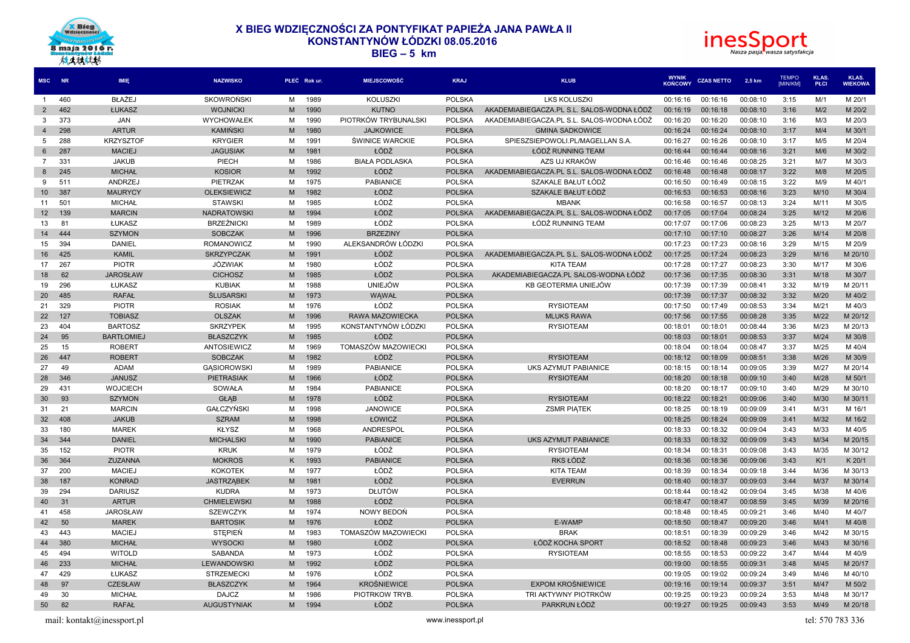



| <b>MSC</b>     | <b>NR</b> | IMIE                       | <b>NAZWISKO</b>         |   | PŁEĆ Rok ur. | <b>MIEJSCOWOŚĆ</b>     | <b>KRAJ</b>      | <b>KLUB</b>                               | <b>WYNIK</b><br><b>KOŃCOWY</b> | <b>CZAS NETTO</b> | 2,5 km   | <b>TEMPO</b><br>[MIN/KM] | KLAS.<br>PŁCI    | KLAS.<br><b>WIEKOWA</b> |
|----------------|-----------|----------------------------|-------------------------|---|--------------|------------------------|------------------|-------------------------------------------|--------------------------------|-------------------|----------|--------------------------|------------------|-------------------------|
| $\overline{1}$ | 460       | <b>BŁAŻEJ</b>              | <b>SKOWROŃSKI</b>       | м | 1989         | <b>KOLUSZKI</b>        | <b>POLSKA</b>    | <b>LKS KOLUSZKI</b>                       | 00:16:16                       | 00:16:16          | 00:08:10 | 3:15                     | M/1              | M 20/1                  |
| $\overline{2}$ | 462       | ŁUKASZ                     | <b>WOJNICKI</b>         | M | 1990         | <b>KUTNO</b>           | <b>POLSKA</b>    | AKADEMIABIEGACZA.PL S.L. SALOS-WODNA ŁÓDŹ | 00:16:19                       | 00:16:18          | 00:08:10 | 3:16                     | M/2              | M 20/2                  |
| 3              | 373       | JAN                        | WYCHOWAŁEK              | M | 1990         | PIOTRKÓW TRYBUNALSKI   | <b>POLSKA</b>    | AKADEMIABIEGACZA.PL S.L. SALOS-WODNA ŁÓDŹ | 00:16:20                       | 00:16:20          | 00:08:10 | 3:16                     | M/3              | M 20/3                  |
| $\overline{4}$ | 298       | <b>ARTUR</b>               | <b>KAMIŃSKI</b>         | M | 1980         | <b>JAJKOWICE</b>       | <b>POLSKA</b>    | <b>GMINA SADKOWICE</b>                    | 00:16:24                       | 00:16:24          | 00:08:10 | 3:17                     | M/4              | M 30/1                  |
| 5              | 288       | <b>KRZYSZTOF</b>           | <b>KRYGIER</b>          | M | 1991         | <b>ŚWINICE WARCKIE</b> | <b>POLSKA</b>    | SPIESZSIEPOWOLI.PL/MAGELLAN S.A.          | 00:16:27                       | 00:16:26          | 00:08:10 | 3:17                     | M/5              | M 20/4                  |
| 6              | 287       | <b>MACIEJ</b>              | <b>JAGUSIAK</b>         | M | 1981         | ŁÓDŹ                   | <b>POLSKA</b>    | ŁÓDŹ RUNNING TEAM                         | 00:16:44                       | 00:16:44          | 00:08:16 | 3:21                     | M/6              | M 30/2                  |
| 7              | 331       | <b>JAKUB</b>               | PIECH                   | м | 1986         | <b>BIAŁA PODLASKA</b>  | <b>POLSKA</b>    | AZS UJ KRAKÓW                             | 00:16:46                       | 00:16:46          | 00:08:25 | 3:21                     | M/7              | M 30/3                  |
| 8              | 245       | <b>MICHAŁ</b>              | <b>KOSIOR</b>           | M | 1992         | ŁÓDŹ                   | <b>POLSKA</b>    | AKADEMIABIEGACZA.PL S.L. SALOS-WODNA ŁÓDŹ | 00:16:48                       | 00:16:48          | 00:08:17 | 3:22                     | M/8              | M 20/5                  |
| 9              | 511       | ANDRZEJ                    | PIETRZAK                | м | 1975         | <b>PABIANICE</b>       | <b>POLSKA</b>    | SZAKALE BAŁUT ŁÓDŹ                        | 00:16:50                       | 00:16:49          | 00:08:15 | 3:22                     | M/9              | M 40/1                  |
| 10             | 387       | <b>MAURYCY</b>             | <b>OLEKSIEWICZ</b>      | M | 1982         | ŁÓDŹ                   | <b>POLSKA</b>    | SZAKALE BAŁUT ŁÓDŹ                        | 00:16:53                       | 00:16:53          | 00:08:16 | 3:23                     | M/10             | M 30/4                  |
| 11             | 501       | <b>MICHAŁ</b>              | <b>STAWSKI</b>          | м | 1985         | ŁÓDŹ                   | <b>POLSKA</b>    | <b>MBANK</b>                              | 00:16:58                       | 00:16:57          | 00:08:13 | 3:24                     | M/11             | M 30/5                  |
| 12             | 139       | <b>MARCIN</b>              | <b>NADRATOWSKI</b>      | M | 1994         | ŁÓDŹ                   | <b>POLSKA</b>    | AKADEMIABIEGACZA.PL S.L. SALOS-WODNA ŁÓDŹ | 00:17:05                       | 00:17:04          | 00:08:24 | 3:25                     | M/12             | M 20/6                  |
| 13             | 81        | ŁUKASZ                     | <b>BRZEŹNICKI</b>       | M | 1989         | ŁÓDŹ                   | <b>POLSKA</b>    | ŁÓDŹ RUNNING TEAM                         | 00:17:07                       | 00:17:06          | 00:08:23 | 3:25                     | M/13             | M 20/7                  |
| 14             | 444       | <b>SZYMON</b>              | <b>SOBCZAK</b>          | M | 1996         | <b>BRZEZINY</b>        | <b>POLSKA</b>    |                                           | 00:17:10                       | 00:17:10          | 00:08:27 | 3:26                     | M/14             | M 20/8                  |
| 15             | 394       | <b>DANIEL</b>              | ROMANOWICZ              | M | 1990         | ALEKSANDRÓW ŁÓDZKI     | <b>POLSKA</b>    |                                           | 00:17:23                       | 00:17:23          | 00:08:16 | 3:29                     | M/15             | M 20/9                  |
| 16             | 425       | <b>KAMIL</b>               | <b>SKRZYPCZAK</b>       | M | 1991         | ŁÓDŹ                   | <b>POLSKA</b>    | AKADEMIABIEGACZA.PL S.L. SALOS-WODNA ŁÓDŹ | 00:17:25                       | 00:17:24          | 00:08:23 | 3:29                     | M/16             | M 20/10                 |
| 17             | 267       | <b>PIOTR</b>               | JÓZWIAK                 | м | 1980         | ŁÓDŹ                   | POLSKA           | KITA TEAM                                 | 00:17:28                       | 00:17:27          | 00:08:23 | 3:30                     | M/17             | M 30/6                  |
| 18             | 62        | <b>JAROSŁAW</b>            | <b>CICHOSZ</b>          | M | 1985         | ŁÓDŹ                   | <b>POLSKA</b>    | AKADEMIABIEGACZA.PL SALOS-WODNA ŁÓDŹ      | 00:17:36                       | 00:17:35          | 00:08:30 | 3:31                     | M/18             | M 30/7                  |
| 19             | 296       | ŁUKASZ                     | <b>KUBIAK</b>           | м | 1988         | <b>UNIEJÓW</b>         | <b>POLSKA</b>    | KB GEOTERMIA UNIEJÓW                      | 00:17:39                       | 00:17:39          | 00:08:41 | 3:32                     | M/19             | M 20/11                 |
| 20             | 485       | <b>RAFAŁ</b>               | <b><i>ŚLUSARSKI</i></b> | M | 1973         | WAWAŁ                  | <b>POLSKA</b>    |                                           | 00:17:39                       | 00:17:37          | 00:08:32 | 3:32                     | M/20             | M 40/2                  |
| 21             | 329       | <b>PIOTR</b>               | <b>ROSIAK</b>           | м | 1976         | ŁÓDŹ                   | <b>POLSKA</b>    | <b>RYSIOTEAM</b>                          | 00:17:50                       | 00:17:49          | 00:08:53 | 3:34                     | M/21             | M 40/3                  |
| 22             | 127       | <b>TOBIASZ</b>             | <b>OLSZAK</b>           | M | 1996         | RAWA MAZOWIECKA        | <b>POLSKA</b>    | <b>MLUKS RAWA</b>                         | 00:17:56                       | 00:17:55          | 00:08:28 | 3:35                     | M/22             | M 20/12                 |
| 23             | 404       | <b>BARTOSZ</b>             | <b>SKRZYPEK</b>         | M | 1995         | KONSTANTYNÓW ŁÓDZKI    | <b>POLSKA</b>    | <b>RYSIOTEAM</b>                          | 00:18:01                       | 00:18:01          | 00:08:44 | 3:36                     | M/23             | M 20/13                 |
| 24             | 95        | <b>BARTŁOMIEJ</b>          | <b>BŁASZCZYK</b>        | M | 1985         | ŁÓDŹ                   | <b>POLSKA</b>    |                                           | 00:18:03                       | 00:18:01          | 00:08:53 | 3:37                     | M/24             | M 30/8                  |
| 25             | 15        | <b>ROBERT</b>              | ANTOSIEWICZ             | M | 1969         | TOMASZÓW MAZOWIECKI    | <b>POLSKA</b>    |                                           | 00:18:04                       | 00:18:04          | 00:08:47 | 3:37                     | M/25             | M 40/4                  |
| 26             | 447       | <b>ROBERT</b>              | <b>SOBCZAK</b>          | M | 1982         | ŁÓDŹ                   | <b>POLSKA</b>    | <b>RYSIOTEAM</b>                          | 00:18:12                       | 00:18:09          | 00:08:51 | 3:38                     | M/26             | M 30/9                  |
| 27             | 49        | <b>ADAM</b>                | <b>GASIOROWSKI</b>      | M | 1989         | PABIANICE              | <b>POLSKA</b>    | UKS AZYMUT PABIANICE                      | 00:18:15                       | 00:18:14          | 00:09:05 | 3:39                     | M/27             | M 20/14                 |
| 28             | 346       | <b>JANUSZ</b>              | <b>PIETRASIAK</b>       | M | 1966         | ŁÓDŹ                   | <b>POLSKA</b>    | <b>RYSIOTEAM</b>                          | 00:18:20                       | 00:18:18          | 00:09:10 | 3:40                     | M/28             | M 50/1                  |
| 29             | 431       | <b>WOJCIECH</b>            | SOWAŁA                  | м | 1984         | <b>PABIANICE</b>       | <b>POLSKA</b>    |                                           | 00:18:20                       | 00:18:17          | 00:09:10 | 3:40                     | M/29             | M 30/10                 |
| 30             | 93        | <b>SZYMON</b>              | <b>GŁAB</b>             | M | 1978         | ŁÓDŹ                   | <b>POLSKA</b>    | <b>RYSIOTEAM</b>                          | 00:18:22                       | 00:18:21          | 00:09:06 | 3:40                     | M/30             | M 30/11                 |
| 31             | 21        | <b>MARCIN</b>              | <b>GAŁCZYŃSKI</b>       | м | 1998         | <b>JANOWICE</b>        | <b>POLSKA</b>    | <b>ZSMR PIATEK</b>                        | 00:18:25                       | 00:18:19          | 00:09:09 | 3:41                     | M/31             | M 16/1                  |
| 32             | 408       | <b>JAKUB</b>               | <b>SZRAM</b>            | M | 1998         | ŁOWICZ                 | <b>POLSKA</b>    |                                           | 00:18:25                       | 00:18:24          | 00:09:09 | 3:41                     | M/32             | M 16/2                  |
| 33             | 180       | <b>MAREK</b>               | <b>KŁYSZ</b>            | M | 1968         | ANDRESPOL              | <b>POLSKA</b>    |                                           | 00:18:33                       | 00:18:32          | 00:09:04 | 3:43                     | M/33             | M 40/5                  |
| 34             | 344       | <b>DANIEL</b>              | <b>MICHALSKI</b>        | M | 1990         | <b>PABIANICE</b>       | <b>POLSKA</b>    | UKS AZYMUT PABIANICE                      | 00:18:33                       | 00:18:32          | 00:09:09 | 3:43                     | M/34             | M 20/15                 |
| 35             | 152       | <b>PIOTR</b>               | <b>KRUK</b>             | M | 1979         | ŁÓDŹ                   | <b>POLSKA</b>    | <b>RYSIOTEAM</b>                          | 00:18:34                       | 00:18:31          | 00:09:08 | 3:43                     | M/35             | M 30/12                 |
| 36             | 364       | ZUZANNA                    | <b>MOKROS</b>           | Κ | 1993         | <b>PABIANICE</b>       | <b>POLSKA</b>    | RKS ŁÓDŹ                                  | 00:18:36                       | 00:18:36          | 00:09:06 | 3:43                     | K/1              | K 20/1                  |
| 37             | 200       | <b>MACIEJ</b>              | <b>KOKOTEK</b>          | M | 1977         | ŁÓDŹ                   | POLSKA           | <b>KITA TEAM</b>                          | 00:18:39                       | 00:18:34          | 00:09:18 | 3:44                     | M/36             | M 30/13                 |
| 38             | 187       | <b>KONRAD</b>              | <b>JASTRZĄBEK</b>       | M | 1981         | ŁÓDŹ                   | <b>POLSKA</b>    | <b>EVERRUN</b>                            | 00:18:40                       | 00:18:37          | 00:09:03 | 3:44                     | M/37             | M 30/14                 |
| 39             | 294       | <b>DARIUSZ</b>             | <b>KUDRA</b>            | м | 1973         | <b>DŁUTÓW</b>          | <b>POLSKA</b>    |                                           | 00:18:44                       | 00:18:42          | 00:09:04 | 3:45                     | M/38             | M 40/6                  |
| 40             | 31        | <b>ARTUR</b>               | <b>CHMIELEWSKI</b>      | M | 1988         | ŁÓDŹ                   | <b>POLSKA</b>    |                                           | 00:18:47                       | 00:18:47          | 00:08:59 | 3:45                     | M/39             | M 20/16                 |
| 41             | 458       | <b>JAROSŁAW</b>            | <b>SZEWCZYK</b>         | м | 1974         | NOWY BEDOŃ             | <b>POLSKA</b>    |                                           | 00:18:48                       | 00:18:45          | 00:09:21 | 3:46                     | M/40             | M 40/7                  |
| 42             | 50        | <b>MAREK</b>               | <b>BARTOSIK</b>         | M | 1976         | ŁÓDŹ                   | <b>POLSKA</b>    | E-WAMP                                    | 00:18:50                       | 00:18:47          | 00:09:20 | 3:46                     | M/41             | M 40/8                  |
| 43             | 443       | <b>MACIEJ</b>              | <b>STEPIEN</b>          | M | 1983         | TOMASZÓW MAZOWIECKI    | <b>POLSKA</b>    | <b>BRAK</b>                               | 00:18:51                       | 00:18:39          | 00:09:29 | 3:46                     | M/42             | M 30/15                 |
| 44             | 380       | <b>MICHAŁ</b>              | <b>WYSOCKI</b>          | M | 1980         | ŁÓDŹ                   | <b>POLSKA</b>    | ŁÓDŹ KOCHA SPORT                          | 00:18:52                       | 00:18:48          | 00:09:23 | 3:46                     | M/43             | M 30/16                 |
| 45             | 494       | <b>WITOLD</b>              | SABANDA                 | M | 1973         | ŁÓDŹ                   | <b>POLSKA</b>    | <b>RYSIOTEAM</b>                          | 00:18:55                       | 00:18:53          | 00:09:22 | 3:47                     | M/44             | M 40/9                  |
| 46             | 233       | <b>MICHAŁ</b>              | LEWANDOWSKI             | M | 1992         | ŁÓDŹ                   | <b>POLSKA</b>    |                                           | 00:19:00                       | 00:18:55          | 00:09:31 | 3:48                     | M/45             | M 20/17                 |
| 47             | 429       | ŁUKASZ                     | <b>STRZEMECKI</b>       | м | 1976         | ŁÓDŹ                   | <b>POLSKA</b>    |                                           | 00:19:05                       | 00:19:02          | 00:09:24 | 3:49                     | M/46             | M 40/10                 |
| 48             | 97        | <b>CZESŁAW</b>             | <b>BŁASZCZYK</b>        | м | 1964         | <b>KROŚNIEWICE</b>     | <b>POLSKA</b>    | EXPOM KROŚNIEWICE                         | 00:19:16                       | 00:19:14          | 00:09:37 | 3:51                     | M/47             | M 50/2                  |
| 49             | 30        | <b>MICHAŁ</b>              | <b>DAJCZ</b>            | м | 1986         | PIOTRKOW TRYB          | <b>POLSKA</b>    | TRI AKTYWNY PIOTRKÓW                      | 00:19:25                       | 00:19:23          | 00:09:24 | 3:53                     | M/48             | M 30/17                 |
| 50             | 82        | <b>RAFAŁ</b>               | <b>AUGUSTYNIAK</b>      | M | 1994         | ŁÓDŹ                   | <b>POLSKA</b>    | PARKRUN ŁÓDŹ                              | 00:19:27                       | 00:19:25          | 00:09:43 | 3:53                     | M/49             | M 20/18                 |
|                |           | mail: kontakt@inessport.pl |                         |   |              |                        | www.inessport.pl |                                           |                                |                   |          |                          | tel: 570 783 336 |                         |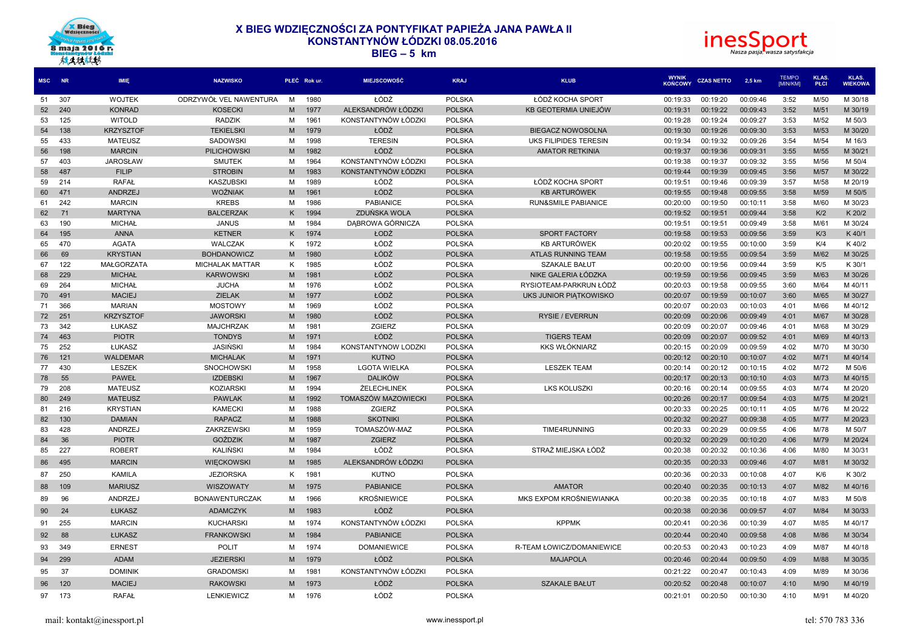



| <b>MSC</b> | <b>NR</b>  | <b>IMIE</b>                    | <b>NAZWISKO</b>                 |        | PŁEĆ Rok ur. | <b>MIEJSCOWOŚĆ</b>  | <b>KRAJ</b>                    | <b>KLUB</b>                    | <b>WYNIK</b><br><b>KONCOWY</b> | <b>CZAS NETTO</b>    | 2,5 km               | <b>TEMPO</b><br><b>IMIN/KMI</b> | KLAS.<br><b>PŁCI</b> | KLAS.<br><b>WIEKOWA</b> |
|------------|------------|--------------------------------|---------------------------------|--------|--------------|---------------------|--------------------------------|--------------------------------|--------------------------------|----------------------|----------------------|---------------------------------|----------------------|-------------------------|
| 51         | 307        | <b>WOJTEK</b>                  | ODRZYWÓŁ VEL NAWENTURA          | M      | 1980         | ŁÓDŹ                | <b>POLSKA</b>                  | ŁÓDŹ KOCHA SPORT               | 00:19:33                       | 00:19:20             | 00:09:46             | 3:52                            | M/50                 | M 30/18                 |
| 52         | 240        | <b>KONRAD</b>                  | <b>KOSECKI</b>                  | M      | 1977         | ALEKSANDRÓW ŁÓDZKI  | <b>POLSKA</b>                  | KB GEOTERMIA UNIEJÓW           | 00:19:31                       | 00:19:22             | 00:09:43             | 3:52                            | M/51                 | M 30/19                 |
| 53         | 125        | <b>WITOLD</b>                  | RADZIK                          | м      | 1961         | KONSTANTYNÓW ŁÓDZKI | <b>POLSKA</b>                  |                                | 00:19:28                       | 00:19:24             | 00:09:27             | 3:53                            | M/52                 | M 50/3                  |
| 54         | 138        | <b>KRZYSZTOF</b>               | <b>TEKIELSKI</b>                | M      | 1979         | ŁÓDŹ                | <b>POLSKA</b>                  | <b>BIEGACZ NOWOSOLNA</b>       | 00:19:30                       | 00:19:26             | 00:09:30             | 3:53                            | M/53                 | M 30/20                 |
| 55         | 433        | <b>MATEUSZ</b>                 | <b>SADOWSKI</b>                 | М      | 1998         | <b>TERESIN</b>      | <b>POLSKA</b>                  | UKS FILIPIDES TERESIN          | 00:19:34                       | 00:19:32             | 00:09:26             | 3:54                            | M/54                 | M 16/3                  |
| 56         | 198        | <b>MARCIN</b>                  | <b>PILICHOWSKI</b>              | M      | 1982         | ŁÓDŹ                | <b>POLSKA</b>                  | <b>AMATOR RETKINIA</b>         | 00:19:37                       | 00:19:36             | 00:09:31             | 3:55                            | M/55                 | M 30/21                 |
| 57         | 403        | <b>JAROSŁAW</b>                | <b>SMUTEK</b>                   | M      | 1964         | KONSTANTYNÓW ŁÓDZKI | <b>POLSKA</b>                  |                                | 00:19:38                       | 00:19:37             | 00:09:32             | 3:55                            | M/56                 | M 50/4                  |
| 58         | 487        | <b>FILIP</b>                   | <b>STROBIN</b>                  | M      | 1983         | KONSTANTYNÓW ŁÓDZKI | <b>POLSKA</b>                  |                                | 00:19:44                       | 00:19:39             | 00:09:45             | 3:56                            | M/57                 | M 30/22                 |
| 59         | 214        | <b>RAFAŁ</b>                   | <b>KASZUBSKI</b>                | M      | 1989         | ŁÓDŹ                | <b>POLSKA</b>                  | ŁÓDŹ KOCHA SPORT               | 00:19:51                       | 00:19:46             | 00:09:39             | 3:57                            | M/58                 | M 20/19                 |
| 60         | 471        | ANDRZEJ                        | <b>WOŻNIAK</b>                  | M      | 1961         | ŁÓDŹ                | <b>POLSKA</b>                  | <b>KB ARTURÓWEK</b>            | 00:19:55                       | 00:19:48             | 00:09:55             | 3:58                            | M/59                 | M 50/5                  |
| 61         | 242        | <b>MARCIN</b>                  | <b>KREBS</b>                    | М      | 1986         | <b>PABIANICE</b>    | <b>POLSKA</b>                  | <b>RUN&amp;SMILE PABIANICE</b> | 00:20:00                       | 00:19:50             | 00:10:11             | 3:58                            | M/60                 | M 30/23                 |
| 62         | 71         | <b>MARTYNA</b>                 | <b>BALCERZAK</b>                | Κ      | 1994         | ZDUŃSKA WOLA        | <b>POLSKA</b>                  |                                | 00:19:52                       | 00:19:51             | 00:09:44             | 3:58                            | K/2                  | K 20/2                  |
| 63         | 190        | <b>MICHAŁ</b>                  | <b>JANUS</b>                    | M      | 1984         | DABROWA GÓRNICZA    | <b>POLSKA</b>                  |                                | 00:19:51                       | 00:19:51             | 00:09:49             | 3:58                            | M/61                 | M 30/24                 |
| 64         | 195        | <b>ANNA</b>                    | <b>KETNER</b>                   | Κ      | 1974         | ŁODŹ                | <b>POLSKA</b>                  | <b>SPORT FACTORY</b>           | 00:19:58                       | 00:19:53             | 00:09:56             | 3:59                            | K/3                  | K 40/1                  |
| 65         | 470        | <b>AGATA</b>                   | <b>WALCZAK</b>                  | K      | 1972         | ŁÓDŹ                | <b>POLSKA</b>                  | <b>KB ARTURÓWEK</b>            | 00:20:02                       | 00:19:55             | 00:10:00             | 3:59                            | K/4                  | K 40/2                  |
| 66         | 69         | <b>KRYSTIAN</b>                | <b>BOHDANOWICZ</b>              | M      | 1980         | ŁÓDŹ                | <b>POLSKA</b>                  | <b>ATLAS RUNNING TEAM</b>      | 00:19:58                       | 00:19:55             | 00:09:54             | 3:59                            | M/62                 | M 30/25                 |
| 67         | 122        | <b>MAŁGORZATA</b>              | <b>MICHALAK MATTAR</b>          | K      | 1985         | ŁÓDŹ<br>ŁÓDŹ        | <b>POLSKA</b>                  | <b>SZAKALE BAŁUT</b>           | 00:20:00                       | 00:19:56             | 00:09:44             | 3:59                            | K/5                  | K 30/1                  |
| 68         | 229        | <b>MICHAŁ</b>                  | <b>KARWOWSKI</b>                | M      | 1981         |                     | <b>POLSKA</b>                  | NIKE GALERIA ŁÓDZKA            | 00:19:59                       | 00:19:56             | 00:09:45             | 3:59                            | M/63                 | M 30/26                 |
| 69         | 264        | <b>MICHAŁ</b>                  | <b>JUCHA</b>                    | M      | 1976         | ŁÓDŹ<br>ŁÓDŹ        | <b>POLSKA</b>                  | RYSIOTEAM-PARKRUN ŁÓDŹ         | 00:20:03                       | 00:19:58             | 00:09:55             | 3:60                            | M/64                 | M 40/11                 |
| 70<br>71   | 491<br>366 | <b>MACIEJ</b><br><b>MARIAN</b> | <b>ZIELAK</b><br><b>MOSTOWY</b> | M<br>M | 1977<br>1969 | ŁÓDŹ                | <b>POLSKA</b><br><b>POLSKA</b> | UKS JUNIOR PIATKOWISKO         | 00:20:07<br>00:20:07           | 00:19:59<br>00:20:03 | 00:10:07<br>00:10:03 | 3:60<br>4:01                    | M/65<br>M/66         | M 30/27<br>M 40/12      |
| 72         | 251        | <b>KRZYSZTOF</b>               | <b>JAWORSKI</b>                 | M      | 1980         | ŁÓDŹ                | <b>POLSKA</b>                  | <b>RYSIE / EVERRUN</b>         | 00:20:09                       | 00:20:06             | 00:09:49             | 4:01                            | M/67                 | M 30/28                 |
| 73         | 342        | ŁUKASZ                         | <b>MAJCHRZAK</b>                | M      | 1981         | <b>ZGIERZ</b>       | <b>POLSKA</b>                  |                                | 00:20:09                       | 00:20:07             | 00:09:46             | 4:01                            | M/68                 | M 30/29                 |
| 74         | 463        | <b>PIOTR</b>                   | <b>TONDYS</b>                   | M      | 1971         | ŁÓDŹ                | <b>POLSKA</b>                  | <b>TIGERS TEAM</b>             | 00:20:09                       | 00:20:07             | 00:09:52             | 4:01                            | M/69                 | M 40/13                 |
| 75         | 252        | ŁUKASZ                         | <b>JASIŃSKI</b>                 | M      | 1984         | KONSTANTYNOW LODZKI | <b>POLSKA</b>                  | <b>KKS WŁÓKNIARZ</b>           | 00:20:15                       | 00:20:09             | 00:09:59             | 4:02                            | M/70                 | M 30/30                 |
| 76         | 121        | WALDEMAR                       | <b>MICHALAK</b>                 | M      | 1971         | <b>KUTNO</b>        | <b>POLSKA</b>                  |                                | 00:20:12                       | 00:20:10             | 00:10:07             | 4:02                            | M/71                 | M 40/14                 |
| 77         | 430        | LESZEK                         | SNOCHOWSKI                      | М      | 1958         | <b>LGOTA WIELKA</b> | <b>POLSKA</b>                  | <b>LESZEK TEAM</b>             | 00:20:14                       | 00:20:12             | 00:10:15             | 4:02                            | M/72                 | M 50/6                  |
| 78         | 55         | <b>PAWEŁ</b>                   | <b>IZDEBSKI</b>                 | M      | 1967         | <b>DALIKÓW</b>      | <b>POLSKA</b>                  |                                | 00:20:17                       | 00:20:13             | 00:10:10             | 4:03                            | M/73                 | M 40/15                 |
| 79         | 208        | <b>MATEUSZ</b>                 | <b>KOZIARSKI</b>                | м      | 1994         | ŻELECHLINEK         | <b>POLSKA</b>                  | <b>LKS KOLUSZKI</b>            | 00:20:16                       | 00:20:14             | 00:09:55             | 4:03                            | M/74                 | M 20/20                 |
| 80         | 249        | <b>MATEUSZ</b>                 | <b>PAWLAK</b>                   | M      | 1992         | TOMASZÓW MAZOWIECKI | <b>POLSKA</b>                  |                                | 00:20:26                       | 00:20:17             | 00:09:54             | 4:03                            | M/75                 | M 20/21                 |
| 81         | 216        | <b>KRYSTIAN</b>                | <b>KAMECKI</b>                  | м      | 1988         | ZGIERZ              | <b>POLSKA</b>                  |                                | 00:20:33                       | 00:20:25             | 00:10:11             | 4:05                            | M/76                 | M 20/22                 |
| 82         | 130        | <b>DAMIAN</b>                  | <b>RAPACZ</b>                   | M      | 1988         | <b>SKOTNIKI</b>     | <b>POLSKA</b>                  |                                | 00:20:32                       | 00:20:27             | 00:09:38             | 4:05                            | M/77                 | M 20/23                 |
| 83         | 428        | ANDRZEJ                        | ZAKRZEWSKI                      | м      | 1959         | TOMASZÓW-MAZ        | <b>POLSKA</b>                  | TIME4RUNNING                   | 00:20:33                       | 00:20:29             | 00:09:55             | 4:06                            | M/78                 | M 50/7                  |
| 84         | 36         | <b>PIOTR</b>                   | <b>GOŹDZIK</b>                  | M      | 1987         | <b>ZGIERZ</b>       | <b>POLSKA</b>                  |                                | 00:20:32                       | 00:20:29             | 00:10:20             | 4:06                            | M/79                 | M 20/24                 |
| 85         | 227        | <b>ROBERT</b>                  | KALIŃSKI                        | M      | 1984         | ŁÓDŹ                | <b>POLSKA</b>                  | STRAŻ MIEJSKA ŁÓDŹ             | 00:20:38                       | 00:20:32             | 00:10:36             | 4:06                            | M/80                 | M 30/31                 |
| 86         | 495        | <b>MARCIN</b>                  | WIECKOWSKI                      | M      | 1985         | ALEKSANDRÓW ŁÓDZKI  | <b>POLSKA</b>                  |                                | 00:20:35                       | 00:20:33             | 00:09:46             | 4:07                            | M/81                 | M 30/32                 |
| 87         | 250        | KAMILA                         | <b>JEZIORSKA</b>                | K      | 1981         | <b>KUTNO</b>        | <b>POLSKA</b>                  |                                | 00:20:36                       | 00:20:33             | 00:10:08             | 4:07                            | K/6                  | K 30/2                  |
| 88         | 109        | <b>MARIUSZ</b>                 | <b>WISZOWATY</b>                | M      | 1975         | <b>PABIANICE</b>    | <b>POLSKA</b>                  | <b>AMATOR</b>                  | 00:20:40                       | 00:20:35             | 00:10:13             | 4:07                            | M/82                 | M 40/16                 |
| 89         | 96         | ANDRZEJ                        | <b>BONAWENTURCZAK</b>           | м      | 1966         | <b>KROŚNIEWICE</b>  | <b>POLSKA</b>                  | MKS EXPOM KROŚNIEWIANKA        | 00:20:38                       | 00:20:35             | 00:10:18             | 4:07                            | M/83                 | M 50/8                  |
| 90         | 24         | ŁUKASZ                         | <b>ADAMCZYK</b>                 | M      | 1983         | ŁÓDŹ                | <b>POLSKA</b>                  |                                | 00:20:38                       | 00:20:36             | 00:09:57             | 4:07                            | M/84                 | M 30/33                 |
| 91         | 255        | <b>MARCIN</b>                  | <b>KUCHARSKI</b>                | M      | 1974         | KONSTANTYNÓW ŁÓDZKI | <b>POLSKA</b>                  | <b>KPPMK</b>                   | 00:20:41                       | 00:20:36             | 00:10:39             | 4:07                            | M/85                 | M 40/17                 |
| 92         | 88         | ŁUKASZ                         | <b>FRANKOWSKI</b>               | M      | 1984         | <b>PABIANICE</b>    | <b>POLSKA</b>                  |                                | 00:20:44                       | 00:20:40             | 00:09:58             | 4:08                            | M/86                 | M 30/34                 |
| 93         | 349        | <b>ERNEST</b>                  | <b>POLIT</b>                    | м      | 1974         | <b>DOMANIEWICE</b>  | <b>POLSKA</b>                  | R-TEAM ŁOWICZ/DOMANIEWICE      | 00:20:53                       | 00:20:43             | 00:10:23             | 4:09                            | M/87                 | M 40/18                 |
| 94         | 299        | <b>ADAM</b>                    | <b>JEZIERSKI</b>                | M      | 1979         | ŁÓDŹ                | <b>POLSKA</b>                  | <b>MAJAPOLA</b>                | 00:20:46                       | 00:20:44             | 00:09:50             | 4:09                            | M/88                 | M 30/35                 |
| 95         | 37         | <b>DOMINIK</b>                 | <b>GRADOMSKI</b>                | м      | 1981         | KONSTANTYNÓW ŁÓDZKI | <b>POLSKA</b>                  |                                | 00:21:22                       | 00:20:47             | 00:10:43             | 4:09                            | M/89                 | M 30/36                 |
|            |            |                                |                                 |        |              |                     |                                |                                |                                |                      |                      |                                 |                      |                         |
| 96         | 120        | <b>MACIEJ</b>                  | <b>RAKOWSKI</b>                 | M      | 1973         | ŁÓDŹ                | <b>POLSKA</b>                  | <b>SZAKALE BAŁUT</b>           | 00:20:52                       | 00:20:48             | 00:10:07             | 4:10                            | M/90                 | M 40/19                 |
| 97         | 173        | <b>RAFAŁ</b>                   | <b>LENKIEWICZ</b>               | м      | 1976         | ŁÓDŹ                | <b>POLSKA</b>                  |                                | 00:21:01                       | 00:20:50             | 00:10:30             | 4:10                            | M/91                 | M 40/20                 |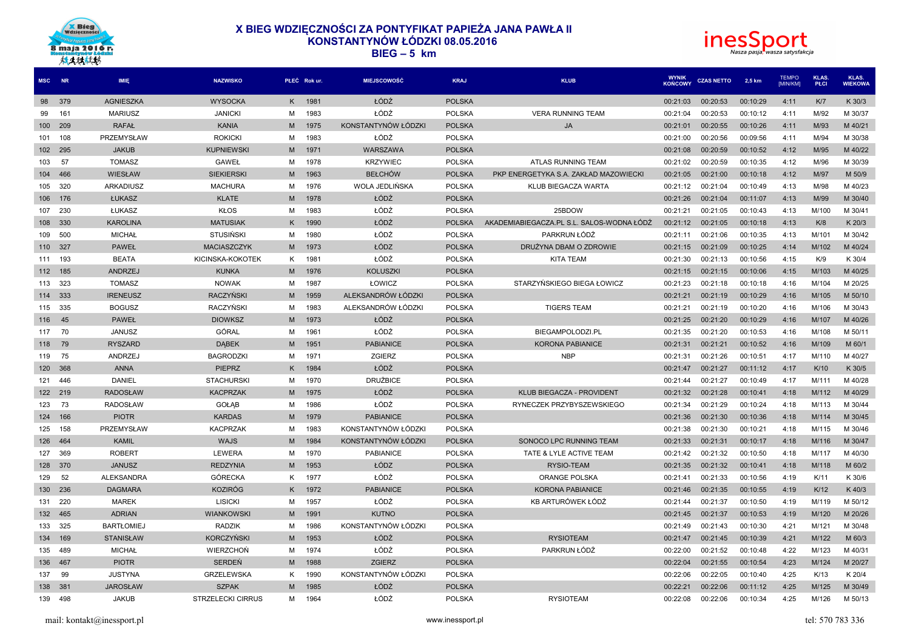



| MSC NR |     | IMIE              | <b>NAZWISKO</b>          |    | PŁEĆ Rok ur. | <b>MIEJSCOWOŚĆ</b>  | <b>KRAJ</b>   | <b>KLUB</b>                               | <b>WYNIK</b><br>KOŃCOWY | <b>CZAS NETTO</b> | 2.5 km   | <b>TEMPO</b><br>[MIN/KM] | <b>KIAS</b><br>PŁCI | KLAS.<br><b>WIEKOWA</b> |
|--------|-----|-------------------|--------------------------|----|--------------|---------------------|---------------|-------------------------------------------|-------------------------|-------------------|----------|--------------------------|---------------------|-------------------------|
| 98     | 379 | AGNIESZKA         | <b>WYSOCKA</b>           | K. | 1981         | ŁÓDŹ                | <b>POLSKA</b> |                                           | 00:21:03                | 00:20:53          | 00:10:29 | 4:11                     | K/T                 | K 30/3                  |
| 99     | 161 | <b>MARIUSZ</b>    | <b>JANICKI</b>           | М  | 1983         | ŁÓDŹ                | <b>POLSKA</b> | <b>VERA RUNNING TEAM</b>                  | 00:21:04                | 00:20:53          | 00:10:12 | 4:11                     | M/92                | M 30/37                 |
| 100    | 209 | <b>RAFAŁ</b>      | <b>KANIA</b>             | M  | 1975         | KONSTANTYNÓW ŁÓDZKI | <b>POLSKA</b> | <b>JA</b>                                 | 00:21:01                | 00:20:55          | 00:10:26 | 4:11                     | M/93                | M 40/21                 |
| 101    | 108 | PRZEMYSŁAW        | <b>ROKICKI</b>           | M  | 1983         | ŁÓDŹ                | <b>POLSKA</b> |                                           | 00:21:00                | 00:20:56          | 00:09:56 | 4:11                     | M/94                | M 30/38                 |
| 102    | 295 | <b>JAKUB</b>      | <b>KUPNIEWSKI</b>        | M  | 1971         | WARSZAWA            | <b>POLSKA</b> |                                           | 00:21:08                | 00:20:59          | 00:10:52 | 4:12                     | M/95                | M 40/22                 |
| 103    | 57  | <b>TOMASZ</b>     | GAWEŁ                    | м  | 1978         | <b>KRZYWIEC</b>     | <b>POLSKA</b> | ATLAS RUNNING TEAM                        | 00:21:02                | 00:20:59          | 00:10:35 | 4:12                     | M/96                | M 30/39                 |
| 104    | 466 | WIESŁAW           | <b>SIEKIERSKI</b>        | M  | 1963         | <b>BEŁCHÓW</b>      | <b>POLSKA</b> | PKP ENERGETYKA S.A. ZAKŁAD MAZOWIECKI     | 00:21:05                | 00:21:00          | 00:10:18 | 4:12                     | M/97                | M 50/9                  |
| 105    | 320 | ARKADIUSZ         | <b>MACHURA</b>           | М  | 1976         | WOLA JEDLIŃSKA      | <b>POLSKA</b> | KLUB BIEGACZA WARTA                       | 00:21:12                | 00:21:04          | 00:10:49 | 4:13                     | M/98                | M 40/23                 |
| 106    | 176 | ŁUKASZ            | <b>KLATE</b>             | M  | 1978         | ŁÓDŹ                | <b>POLSKA</b> |                                           | 00:21:26                | 00:21:04          | 00:11:07 | 4:13                     | M/99                | M 30/40                 |
| 107    | 230 | ŁUKASZ            | <b>KŁOS</b>              | M  | 1983         | ŁÓDŹ                | <b>POLSKA</b> | 25BDOW                                    | 00:21:21                | 00:21:05          | 00:10:43 | 4:13                     | M/100               | M 30/41                 |
| 108    | 330 | <b>KAROLINA</b>   | <b>MATUSIAK</b>          | K. | 1990         | ŁÓDŹ                | <b>POLSKA</b> | AKADEMIABIEGACZA.PL S.L. SALOS-WODNA ŁÓDŹ | 00:21:12                | 00:21:05          | 00:10:18 | 4:13                     | K/8                 | K 20/3                  |
| 109    | 500 | <b>MICHAŁ</b>     | <b>STUSIŃSKI</b>         | м  | 1980         | ŁÓDŹ                | <b>POLSKA</b> | PARKRUN ŁÓDŹ                              | 00:21:11                | 00:21:06          | 00:10:35 | 4:13                     | M/101               | M 30/42                 |
| 110    | 327 | <b>PAWEŁ</b>      | <b>MACIASZCZYK</b>       | M  | 1973         | ŁÓDZ                | <b>POLSKA</b> | DRUŻYNA DBAM O ZDROWIE                    | 00:21:15                | 00:21:09          | 00:10:25 | 4:14                     | M/102               | M 40/24                 |
| 111    | 193 | <b>BEATA</b>      | KICINSKA-KOKOTEK         | Κ  | 1981         | ŁÓDŹ                | <b>POLSKA</b> | <b>KITA TEAM</b>                          | 00:21:30                | 00:21:13          | 00:10:56 | 4:15                     | K/9                 | K 30/4                  |
| 112    | 185 | ANDRZEJ           | <b>KUNKA</b>             | M  | 1976         | <b>KOLUSZKI</b>     | <b>POLSKA</b> |                                           | 00:21:15                | 00:21:15          | 00:10:06 | 4:15                     | M/103               | M 40/25                 |
| 113    | 323 | <b>TOMASZ</b>     | <b>NOWAK</b>             | M  | 1987         | ŁOWICZ              | <b>POLSKA</b> | STARZYŃSKIEGO BIEGA ŁOWICZ                | 00:21:23                | 00:21:18          | 00:10:18 | 4:16                     | M/104               | M 20/25                 |
| 114    | 333 | <b>IRENEUSZ</b>   | RACZYŃSKI                | M  | 1959         | ALEKSANDRÓW ŁÓDZKI  | <b>POLSKA</b> |                                           | 00:21:21                | 00:21:19          | 00:10:29 | 4:16                     | M/105               | M 50/10                 |
| 115    | 335 | <b>BOGUSZ</b>     | RACZYŃSKI                | м  | 1983         | ALEKSANDRÓW ŁÓDZKI  | <b>POLSKA</b> | <b>TIGERS TEAM</b>                        | 00:21:21                | 00:21:19          | 00:10:20 | 4:16                     | M/106               | M 30/43                 |
| 116    | 45  | <b>PAWEŁ</b>      | <b>DIOWKSZ</b>           | M  | 1973         | ŁÓDŹ                | <b>POLSKA</b> |                                           | 00:21:25                | 00:21:20          | 00:10:29 | 4:16                     | M/107               | M 40/26                 |
| 117    | 70  | <b>JANUSZ</b>     | GÓRAL                    | м  | 1961         | ŁÓDŹ                | <b>POLSKA</b> | BIEGAMPOLODZI.PL                          | 00:21:35                | 00:21:20          | 00:10:53 | 4:16                     | M/108               | M 50/11                 |
| 118    | 79  | <b>RYSZARD</b>    | <b>DABEK</b>             | M  | 1951         | <b>PABIANICE</b>    | <b>POLSKA</b> | <b>KORONA PABIANICE</b>                   | 00:21:31                | 00:21:21          | 00:10:52 | 4:16                     | M/109               | M 60/1                  |
| 119    | 75  | ANDRZEJ           | <b>BAGRODZKI</b>         | М  | 1971         | ZGIERZ              | <b>POLSKA</b> | <b>NBP</b>                                | 00:21:31                | 00:21:26          | 00:10:51 | 4:17                     | M/110               | M 40/27                 |
| 120    | 368 | <b>ANNA</b>       | <b>PIEPRZ</b>            | K. | 1984         | ŁÓDŹ                | <b>POLSKA</b> |                                           | 00:21:47                | 00:21:27          | 00:11:12 | 4:17                     | K/10                | K 30/5                  |
| 121    | 446 | DANIEL            | <b>STACHURSKI</b>        | M  | 1970         | <b>DRUŻBICE</b>     | <b>POLSKA</b> |                                           | 00:21:44                | 00:21:27          | 00:10:49 | 4:17                     | M/111               | M 40/28                 |
| 122    | 219 | <b>RADOSŁAW</b>   | <b>KACPRZAK</b>          | M  | 1975         | ŁÓDŹ                | <b>POLSKA</b> | KLUB BIEGACZA - PROVIDENT                 | 00:21:32                | 00:21:28          | 00:10:41 | 4:18                     | M/112               | M 40/29                 |
| 123    | 73  | <b>RADOSŁAW</b>   | GOŁĄB                    | M  | 1986         | ŁÓDŹ                | <b>POLSKA</b> | RYNECZEK PRZYBYSZEWSKIEGO                 | 00:21:34                | 00:21:29          | 00:10:24 | 4:18                     | M/113               | M 30/44                 |
| 124    | 166 | <b>PIOTR</b>      | <b>KARDAS</b>            | M  | 1979         | <b>PABIANICE</b>    | <b>POLSKA</b> |                                           | 00:21:36                | 00:21:30          | 00:10:36 | 4:18                     | M/114               | M 30/45                 |
| 125    | 158 | PRZEMYSŁAW        | <b>KACPRZAK</b>          | м  | 1983         | KONSTANTYNÓW ŁÓDZKI | <b>POLSKA</b> |                                           | 00:21:38                | 00:21:30          | 00:10:21 | 4:18                     | M/115               | M 30/46                 |
| 126    | 464 | <b>KAMIL</b>      | <b>WAJS</b>              | M  | 1984         | KONSTANTYNÓW ŁÓDZKI | <b>POLSKA</b> | SONOCO LPC RUNNING TEAM                   | 00:21:33                | 00:21:31          | 00:10:17 | 4:18                     | M/116               | M 30/47                 |
| 127    | 369 | <b>ROBERT</b>     | LEWERA                   | M  | 1970         | <b>PABIANICE</b>    | <b>POLSKA</b> | TATE & LYLE ACTIVE TEAM                   | 00:21:42                | 00:21:32          | 00:10:50 | 4:18                     | M/117               | M 40/30                 |
| 128    | 370 | <b>JANUSZ</b>     | <b>REDZYNIA</b>          | M  | 1953         | ŁÓDZ                | <b>POLSKA</b> | RYSIO-TEAM                                | 00:21:35                | 00:21:32          | 00:10:41 | 4:18                     | M/118               | M 60/2                  |
| 129    | 52  | <b>ALEKSANDRA</b> | <b>GÓRECKA</b>           | K  | 1977         | ŁÓDŹ                | <b>POLSKA</b> | ORANGE POLSKA                             | 00:21:41                | 00:21:33          | 00:10:56 | 4:19                     | K/11                | K 30/6                  |
| 130    | 236 | <b>DAGMARA</b>    | <b>KOZIRÓG</b>           | ĸ  | 1972         | <b>PABIANICE</b>    | <b>POLSKA</b> | <b>KORONA PABIANICE</b>                   | 00:21:46                | 00:21:35          | 00:10:55 | 4:19                     | K/12                | K 40/3                  |
| 131    | 220 | <b>MAREK</b>      | <b>LISICKI</b>           | M  | 1957         | ŁÓDŹ                | <b>POLSKA</b> | KB ARTURÓWEK ŁÓDŹ                         | 00:21:44                | 00:21:37          | 00:10:50 | 4:19                     | M/119               | M 50/12                 |
| 132    | 465 | <b>ADRIAN</b>     | <b>WIANKOWSKI</b>        | M  | 1991         | <b>KUTNO</b>        | <b>POLSKA</b> |                                           | 00:21:45                | 00:21:37          | 00:10:53 | 4:19                     | M/120               | M 20/26                 |
| 133    | 325 | <b>BARTŁOMIEJ</b> | <b>RADZIK</b>            | M  | 1986         | KONSTANTYNÓW ŁÓDZKI | <b>POLSKA</b> |                                           | 00:21:49                | 00:21:43          | 00:10:30 | 4:21                     | M/121               | M 30/48                 |
| 134    | 169 | <b>STANISŁAW</b>  | <b>KORCZYŃSKI</b>        | M  | 1953         | ŁÓDŹ                | <b>POLSKA</b> | <b>RYSIOTEAM</b>                          | 00:21:47                | 00:21:45          | 00:10:39 | 4:21                     | M/122               | M 60/3                  |
| 135    | 489 | <b>MICHAŁ</b>     | WIERZCHOŃ                | м  | 1974         | ŁÓDŹ                | <b>POLSKA</b> | PARKRUN ŁÓDŹ                              | 00:22:00                | 00:21:52          | 00:10:48 | 4:22                     | M/123               | M 40/31                 |
| 136    | 467 | <b>PIOTR</b>      | <b>SERDEŃ</b>            | M  | 1988         | <b>ZGIERZ</b>       | <b>POLSKA</b> |                                           | 00:22:04                | 00:21:55          | 00:10:54 | 4:23                     | M/124               | M 20/27                 |
| 137    | 99  | <b>JUSTYNA</b>    | <b>GRZELEWSKA</b>        | K  | 1990         | KONSTANTYNÓW ŁÓDZKI | <b>POLSKA</b> |                                           | 00:22:06                | 00:22:05          | 00:10:40 | 4:25                     | K/13                | K 20/4                  |
| 138    | 381 | <b>JAROSŁAW</b>   | <b>SZPAK</b>             | M  | 1985         | ŁÓDŹ                | <b>POLSKA</b> |                                           | 00:22:21                | 00:22:06          | 00:11:12 | 4:25                     | M/125               | M 30/49                 |
| 139    | 498 | <b>JAKUB</b>      | <b>STRZELECKI CIRRUS</b> | м  | 1964         | ŁÓDŹ                | <b>POLSKA</b> | <b>RYSIOTEAM</b>                          | 00:22:08                | 00:22:06          | 00:10:34 | 4:25                     | M/126               | M 50/13                 |
|        |     |                   |                          |    |              |                     |               |                                           |                         |                   |          |                          |                     |                         |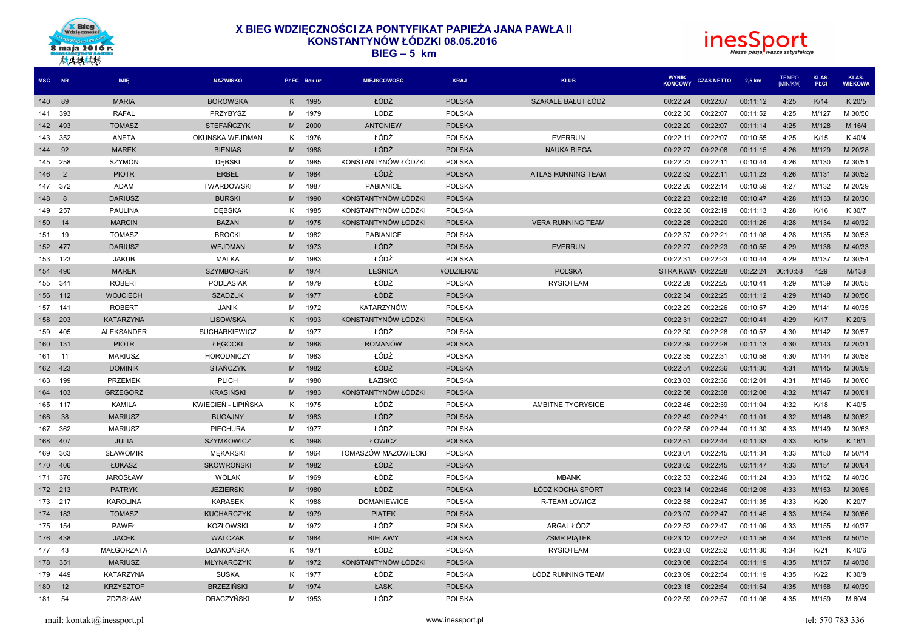



| MSC NR |                | IMIE             | <b>NAZWISKO</b>      |    | PŁEĆ Rok ur. | <b>MIEJSCOWOŚĆ</b>  | <b>KRAJ</b>      | <b>KLUB</b>               | <b>WYNIK</b><br><b>KOŃCOWY</b> | <b>CZAS NETTO</b> | 2,5 km   | <b>TEMPO</b><br>[MIN/KM] | <b>KLAS</b><br>PŁCI | KLAS.<br><b>WIEKOWA</b> |
|--------|----------------|------------------|----------------------|----|--------------|---------------------|------------------|---------------------------|--------------------------------|-------------------|----------|--------------------------|---------------------|-------------------------|
| 140    | 89             | <b>MARIA</b>     | <b>BOROWSKA</b>      | K. | 1995         | ŁÓDŹ                | <b>POLSKA</b>    | SZAKALE BAŁUT ŁÓDŻ        | 00:22:24                       | 00:22:07          | 00:11:12 | 4:25                     | K/14                | K 20/5                  |
| 141    | 393            | <b>RAFAL</b>     | PRZYBYSZ             | М  | 1979         | LODZ                | <b>POLSKA</b>    |                           | 00:22:30                       | 00:22:07          | 00:11:52 | 4:25                     | M/127               | M 30/50                 |
| 142    | 493            | <b>TOMASZ</b>    | <b>STEFANCZYK</b>    | M  | 2000         | <b>ANTONIEW</b>     | <b>POLSKA</b>    |                           | 00:22:20                       | 00:22:07          | 00:11:14 | 4:25                     | M/128               | M 16/4                  |
| 143    | 352            | ANETA            | OKUNSKA WEJDMAN      | K  | 1976         | ŁÓDŹ                | <b>POLSKA</b>    | <b>EVERRUN</b>            | 00:22:11                       | 00:22:07          | 00:10:55 | 4:25                     | K/15                | K 40/4                  |
| 144    | 92             | <b>MAREK</b>     | <b>BIENIAS</b>       | M  | 1988         | ŁÓDŹ                | <b>POLSKA</b>    | <b>NAUKA BIEGA</b>        | 00:22:27                       | 00:22:08          | 00:11:15 | 4:26                     | M/129               | M 20/28                 |
| 145    | 258            | <b>SZYMON</b>    | <b>DEBSKI</b>        | M  | 1985         | KONSTANTYNÓW ŁÓDZKI | <b>POLSKA</b>    |                           | 00:22:23                       | 00:22:11          | 00:10:44 | 4:26                     | M/130               | M 30/51                 |
| 146    | $\overline{2}$ | <b>PIOTR</b>     | <b>ERBEL</b>         | М  | 1984         | ŁÓDŹ                | <b>POLSKA</b>    | <b>ATLAS RUNNING TEAM</b> | 00:22:32                       | 00:22:11          | 00:11:23 | 4:26                     | M/131               | M 30/52                 |
| 147    | 372            | <b>ADAM</b>      | <b>TWARDOWSKI</b>    | м  | 1987         | <b>PABIANICE</b>    | <b>POLSKA</b>    |                           | 00:22:26                       | 00:22:14          | 00:10:59 | 4:27                     | M/132               | M 20/29                 |
| 148    | -8             | <b>DARIUSZ</b>   | <b>BURSKI</b>        | M  | 1990         | KONSTANTYNÓW ŁÓDZKI | <b>POLSKA</b>    |                           | 00:22:23                       | 00:22:18          | 00:10:47 | 4:28                     | M/133               | M 20/30                 |
| 149    | 257            | <b>PAULINA</b>   | <b>DEBSKA</b>        | K  | 1985         | KONSTANTYNÓW ŁÓDZKI | <b>POLSKA</b>    |                           | 00:22:30                       | 00:22:19          | 00:11:13 | 4:28                     | K/16                | K 30/7                  |
| 150    | 14             | <b>MARCIN</b>    | <b>BAZAN</b>         | M  | 1975         | KONSTANTYNÓW ŁÓDZKI | <b>POLSKA</b>    | <b>VERA RUNNING TEAM</b>  | 00:22:28                       | 00:22:20          | 00:11:26 | 4:28                     | M/134               | M 40/32                 |
| 151    | 19             | <b>TOMASZ</b>    | <b>BROCKI</b>        | M  | 1982         | <b>PABIANICE</b>    | <b>POLSKA</b>    |                           | 00:22:37                       | 00:22:21          | 00:11:08 | 4:28                     | M/135               | M 30/53                 |
| 152    | 477            | <b>DARIUSZ</b>   | <b>WEJDMAN</b>       | M  | 1973         | ŁÓDŹ                | <b>POLSKA</b>    | <b>EVERRUN</b>            | 00:22:27                       | 00:22:23          | 00:10:55 | 4:29                     | M/136               | M 40/33                 |
| 153    | 123            | <b>JAKUB</b>     | <b>MALKA</b>         | M  | 1983         | ŁÓDŹ                | <b>POLSKA</b>    |                           | 00:22:31                       | 00:22:23          | 00:10:44 | 4:29                     | M/137               | M 30/54                 |
| 154    | 490            | <b>MAREK</b>     | <b>SZYMBORSKI</b>    | M  | 1974         | <b>LEŚNICA</b>      | <b>VODZIERAD</b> | <b>POLSKA</b>             | STRA.KWIA 00:22:28             |                   | 00:22:24 | 00:10:58                 | 4:29                | M/138                   |
| 155    | 341            | <b>ROBERT</b>    | <b>PODLASIAK</b>     | M  | 1979         | ŁÓDŹ                | <b>POLSKA</b>    | <b>RYSIOTEAM</b>          | 00:22:28                       | 00:22:25          | 00:10:41 | 4:29                     | M/139               | M 30/55                 |
| 156    | 112            | <b>WOJCIECH</b>  | <b>SZADZUK</b>       | М  | 1977         | ŁÓDŹ                | <b>POLSKA</b>    |                           | 00:22:34                       | 00:22:25          | 00:11:12 | 4:29                     | M/140               | M 30/56                 |
| 157    | 141            | <b>ROBERT</b>    | <b>JANIK</b>         | M  | 1972         | KATARZYNÓW          | <b>POLSKA</b>    |                           | 00:22:29                       | 00:22:26          | 00:10:57 | 4:29                     | M/141               | M 40/35                 |
| 158    | 203            | <b>KATARZYNA</b> | <b>LISOWSKA</b>      | ĸ  | 1993         | KONSTANTYNÓW ŁÓDZKI | <b>POLSKA</b>    |                           | 00:22:31                       | 00:22:27          | 00:10:41 | 4:29                     | K/17                | K 20/6                  |
| 159    | 405            | ALEKSANDER       | <b>SUCHARKIEWICZ</b> | м  | 1977         | ŁÓDŹ                | <b>POLSKA</b>    |                           | 00:22:30                       | 00:22:28          | 00:10:57 | 4:30                     | M/142               | M 30/57                 |
| 160    | 131            | <b>PIOTR</b>     | ŁĘGOCKI              | M  | 1988         | <b>ROMANÓW</b>      | <b>POLSKA</b>    |                           | 00:22:39                       | 00:22:28          | 00:11:13 | 4:30                     | M/143               | M 20/31                 |
| 161    | 11             | <b>MARIUSZ</b>   | <b>HORODNICZY</b>    | м  | 1983         | ŁÓDŹ                | <b>POLSKA</b>    |                           | 00:22:35                       | 00:22:31          | 00:10:58 | 4:30                     | M/144               | M 30/58                 |
| 162    | 423            | <b>DOMINIK</b>   | <b>STAŃCZYK</b>      | M  | 1982         | ŁÓDŹ                | <b>POLSKA</b>    |                           | 00:22:51                       | 00:22:36          | 00:11:30 | 4:31                     | M/145               | M 30/59                 |
| 163    | 199            | <b>PRZEMEK</b>   | PLICH                | м  | 1980         | ŁAZISKO             | <b>POLSKA</b>    |                           | 00:23:03                       | 00:22:36          | 00:12:01 | 4:31                     | M/146               | M 30/60                 |
| 164    | 103            | <b>GRZEGORZ</b>  | <b>KRASIŃSKI</b>     | M  | 1983         | KONSTANTYNÓW ŁÓDZKI | <b>POLSKA</b>    |                           | 00:22:58                       | 00:22:38          | 00:12:08 | 4:32                     | M/147               | M 30/61                 |
| 165    | 117            | <b>KAMILA</b>    | KWIECIEŃ - LIPIŃSKA  | K. | 1975         | ŁÓDŹ                | <b>POLSKA</b>    | AMBITNE TYGRYSICE         | 00:22:46                       | 00:22:39          | 00:11:04 | 4:32                     | K/18                | K 40/5                  |
| 166    | 38             | <b>MARIUSZ</b>   | <b>BUGAJNY</b>       | M  | 1983         | ŁÓDŻ                | <b>POLSKA</b>    |                           | 00:22:49                       | 00:22:41          | 00:11:01 | 4:32                     | M/148               | M 30/62                 |
| 167    | 362            | <b>MARIUSZ</b>   | PIECHURA             | м  | 1977         | ŁÓDŹ                | <b>POLSKA</b>    |                           | 00:22:58                       | 00:22:44          | 00:11:30 | 4:33                     | M/149               | M 30/63                 |
| 168    | 407            | <b>JULIA</b>     | <b>SZYMKOWICZ</b>    | K. | 1998         | ŁOWICZ              | <b>POLSKA</b>    |                           | 00:22:51                       | 00:22:44          | 00:11:33 | 4:33                     | K/19                | K 16/1                  |
| 169    | 363            | <b>SLAWOMIR</b>  | <b>MEKARSKI</b>      | м  | 1964         | TOMASZÓW MAZOWIECKI | <b>POLSKA</b>    |                           | 00:23:01                       | 00:22:45          | 00:11:34 | 4:33                     | M/150               | M 50/14                 |
| 170    | 406            | ŁUKASZ           | <b>SKOWROŃSKI</b>    | M  | 1982         | ŁÓDŹ                | <b>POLSKA</b>    |                           | 00:23:02                       | 00:22:45          | 00:11:47 | 4:33                     | M/151               | M 30/64                 |
| 171    | 376            | <b>JAROSŁAW</b>  | <b>WOLAK</b>         | м  | 1969         | ŁÓDŹ                | <b>POLSKA</b>    | <b>MBANK</b>              | 00:22:53                       | 00:22:46          | 00:11:24 | 4:33                     | M/152               | M 40/36                 |
| 172    | 213            | <b>PATRYK</b>    | <b>JEZIERSKI</b>     | M  | 1980         | ŁÓDŹ                | <b>POLSKA</b>    | ŁÓDŹ KOCHA SPORT          | 00:23:14                       | 00:22:46          | 00:12:08 | 4:33                     | M/153               | M 30/65                 |
| 173    | 217            | <b>KAROLINA</b>  | <b>KARASEK</b>       | K. | 1988         | <b>DOMANIEWICE</b>  | <b>POLSKA</b>    | R-TEAM ŁOWICZ             | 00:22:58                       | 00:22:47          | 00:11:35 | 4:33                     | K/20                | K 20/7                  |
| 174    | 183            | <b>TOMASZ</b>    | <b>KUCHARCZYK</b>    | M  | 1979         | <b>PIATEK</b>       | <b>POLSKA</b>    |                           | 00:23:07                       | 00:22:47          | 00:11:45 | 4:33                     | M/154               | M 30/66                 |
| 175    | 154            | <b>PAWEŁ</b>     | <b>KOZŁOWSKI</b>     | м  | 1972         | ŁÓDŹ                | <b>POLSKA</b>    | ARGAL ŁÓDŹ                | 00:22:52                       | 00:22:47          | 00:11:09 | 4:33                     | M/155               | M 40/37                 |
| 176    | 438            | <b>JACEK</b>     | <b>WALCZAK</b>       | M  | 1964         | <b>BIELAWY</b>      | <b>POLSKA</b>    | <b>ZSMR PIATEK</b>        | 00:23:12                       | 00:22:52          | 00:11:56 | 4:34                     | M/156               | M 50/15                 |
| 177    | 43             | MAŁGORZATA       | DZIAKOŃSKA           | K  | 1971         | ŁÓDŹ                | <b>POLSKA</b>    | <b>RYSIOTEAM</b>          | 00:23:03                       | 00:22:52          | 00:11:30 | 4:34                     | K/21                | K 40/6                  |
| 178    | 351            | <b>MARIUSZ</b>   | <b>MŁYNARCZYK</b>    | М  | 1972         | KONSTANTYNÓW ŁÓDZKI | <b>POLSKA</b>    |                           | 00:23:08                       | 00:22:54          | 00:11:19 | 4:35                     | M/157               | M 40/38                 |
| 179    | 449            | KATARZYNA        | <b>SUSKA</b>         | K. | 1977         | ŁÓDŹ                | <b>POLSKA</b>    | ŁÓDŹ RUNNING TEAM         | 00:23:09                       | 00:22:54          | 00:11:19 | 4:35                     | K/22                | K 30/8                  |
| 180    | 12             | <b>KRZYSZTOF</b> | <b>BRZEZIŃSKI</b>    | М  | 1974         | ŁASK                | <b>POLSKA</b>    |                           | 00:23:18                       | 00:22:54          | 00:11:54 | 4:35                     | M/158               | M 40/39                 |
| 181    | 54             | ZDZISŁAW         | <b>DRACZYŃSKI</b>    | м  | 1953         | ŁÓDŹ                | <b>POLSKA</b>    |                           | 00:22:59                       | 00:22:57          | 00:11:06 | 4:35                     | M/159               | M 60/4                  |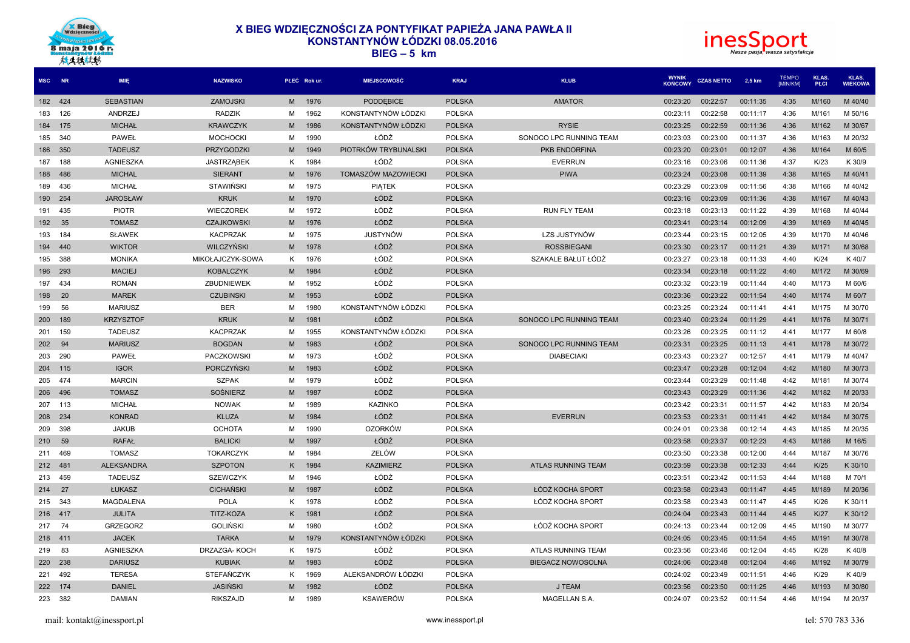



| <b>MSC</b> | <b>NR</b> | <b>IMIE</b>       | <b>NAZWISKO</b>   |   | PŁEĆ Rok ur. | <b>MIEJSCOWOŚĆ</b>   | <b>KRAJ</b>   | <b>KLUB</b>              | <b>WYNIK</b><br>KOŃCOWY | <b>CZAS NETTO</b> | 2,5 km   | <b>TEMPO</b><br><b>IMIN/KMI</b> | KLAS.<br>PŁCI | KLAS.<br><b>WIEKOWA</b> |
|------------|-----------|-------------------|-------------------|---|--------------|----------------------|---------------|--------------------------|-------------------------|-------------------|----------|---------------------------------|---------------|-------------------------|
| 182 424    |           | <b>SEBASTIAN</b>  | <b>ZAMOJSKI</b>   | M | 1976         | PODDEBICE            | <b>POLSKA</b> | <b>AMATOR</b>            | 00:23:20                | 00:22:57          | 00:11:35 | 4:35                            | M/160         | M 40/40                 |
| 183        | 126       | ANDRZEJ           | <b>RADZIK</b>     | M | 1962         | KONSTANTYNÓW ŁÓDZKI  | <b>POLSKA</b> |                          | 00:23:11                | 00:22:58          | 00:11:17 | 4:36                            | M/161         | M 50/16                 |
| 184        | 175       | <b>MICHAŁ</b>     | <b>KRAWCZYK</b>   | M | 1986         | KONSTANTYNÓW ŁÓDZKI  | <b>POLSKA</b> | <b>RYSIE</b>             | 00:23:25                | 00:22:59          | 00:11:36 | 4:36                            | M/162         | M 30/67                 |
| 185        | 340       | <b>PAWEŁ</b>      | <b>MOCHOCKI</b>   | м | 1990         | ŁÓDŹ                 | <b>POLSKA</b> | SONOCO LPC RUNNING TEAM  | 00:23:03                | 00:23:00          | 00:11:37 | 4:36                            | M/163         | M 20/32                 |
| 186        | 350       | <b>TADEUSZ</b>    | PRZYGODZKI        | M | 1949         | PIOTRKÓW TRYBUNALSKI | <b>POLSKA</b> | PKB ENDORFINA            | 00:23:20                | 00:23:01          | 00:12:07 | 4:36                            | M/164         | M 60/5                  |
| 187        | 188       | <b>AGNIESZKA</b>  | <b>JASTRZĄBEK</b> | K | 1984         | ŁÓDŹ                 | <b>POLSKA</b> | <b>EVERRUN</b>           | 00:23:16                | 00:23:06          | 00:11:36 | 4:37                            | K/23          | K 30/9                  |
| 188        | 486       | <b>MICHAL</b>     | <b>SIERANT</b>    | M | 1976         | TOMASZÓW MAZOWIECKI  | <b>POLSKA</b> | <b>PIWA</b>              | 00:23:24                | 00:23:08          | 00:11:39 | 4:38                            | M/165         | M 40/41                 |
| 189        | 436       | <b>MICHAŁ</b>     | <b>STAWIŃSKI</b>  | M | 1975         | PIĄTEK               | <b>POLSKA</b> |                          | 00:23:29                | 00:23:09          | 00:11:56 | 4:38                            | M/166         | M 40/42                 |
| 190        | 254       | <b>JAROSŁAW</b>   | <b>KRUK</b>       | M | 1970         | ŁÓDŹ                 | <b>POLSKA</b> |                          | 00:23:16                | 00:23:09          | 00:11:36 | 4:38                            | M/167         | M 40/43                 |
| 191        | 435       | <b>PIOTR</b>      | <b>WIECZOREK</b>  | M | 1972         | ŁÓDŹ                 | <b>POLSKA</b> | <b>RUN FLY TEAM</b>      | 00:23:18                | 00:23:13          | 00:11:22 | 4:39                            | M/168         | M 40/44                 |
| 192        | 35        | <b>TOMASZ</b>     | <b>CZAJKOWSKI</b> | M | 1976         | ŁÓDŹ                 | <b>POLSKA</b> |                          | 00:23:41                | 00:23:14          | 00:12:09 | 4:39                            | M/169         | M 40/45                 |
| 193        | 184       | <b>SŁAWEK</b>     | <b>KACPRZAK</b>   | м | 1975         | <b>JUSTYNÓW</b>      | <b>POLSKA</b> | LZS JUSTYNÓW             | 00:23:44                | 00:23:15          | 00:12:05 | 4:39                            | M/170         | M 40/46                 |
| 194        | 440       | <b>WIKTOR</b>     | <b>WILCZYŃSKI</b> | M | 1978         | ŁÓDŹ                 | <b>POLSKA</b> | <b>ROSSBIEGANI</b>       | 00:23:30                | 00:23:17          | 00:11:21 | 4:39                            | M/171         | M 30/68                 |
| 195        | 388       | <b>MONIKA</b>     | MIKOŁAJCZYK-SOWA  | K | 1976         | ŁÓDŹ                 | <b>POLSKA</b> | SZAKALE BAŁUT ŁÓDŻ       | 00:23:27                | 00:23:18          | 00:11:33 | 4:40                            | K/24          | K 40/7                  |
| 196        | 293       | <b>MACIEJ</b>     | <b>KOBALCZYK</b>  | M | 1984         | ŁÓDŹ                 | <b>POLSKA</b> |                          | 00:23:34                | 00:23:18          | 00:11:22 | 4:40                            | M/172         | M 30/69                 |
| 197        | 434       | <b>ROMAN</b>      | ZBUDNIEWEK        | м | 1952         | ŁÓDŹ                 | <b>POLSKA</b> |                          | 00:23:32                | 00:23:19          | 00:11:44 | 4:40                            | M/173         | M 60/6                  |
| 198        | 20        | <b>MAREK</b>      | <b>CZUBINSKI</b>  | M | 1953         | ŁÓDŹ                 | <b>POLSKA</b> |                          | 00:23:36                | 00:23:22          | 00:11:54 | 4:40                            | M/174         | M 60/7                  |
| 199        | 56        | <b>MARIUSZ</b>    | <b>BER</b>        | M | 1980         | KONSTANTYNÓW ŁÓDZKI  | <b>POLSKA</b> |                          | 00:23:25                | 00:23:24          | 00:11:41 | 4:41                            | M/175         | M 30/70                 |
| 200        | 189       | <b>KRZYSZTOF</b>  | <b>KRUK</b>       | M | 1981         | ŁÓDŹ                 | <b>POLSKA</b> | SONOCO LPC RUNNING TEAM  | 00:23:40                | 00:23:24          | 00:11:29 | 4:41                            | M/176         | M 30/71                 |
| 201        | 159       | <b>TADEUSZ</b>    | <b>KACPRZAK</b>   | M | 1955         | KONSTANTYNÓW ŁÓDZKI  | <b>POLSKA</b> |                          | 00:23:26                | 00:23:25          | 00:11:12 | 4:41                            | M/177         | M 60/8                  |
| 202        | 94        | <b>MARIUSZ</b>    | <b>BOGDAN</b>     | M | 1983         | ŁÓDŹ                 | <b>POLSKA</b> | SONOCO LPC RUNNING TEAM  | 00:23:31                | 00:23:25          | 00:11:13 | 4:41                            | M/178         | M 30/72                 |
| 203        | 290       | PAWEŁ             | <b>PACZKOWSKI</b> | м | 1973         | ŁÓDŹ                 | <b>POLSKA</b> | <b>DIABECIAKI</b>        | 00:23:43                | 00:23:27          | 00:12:57 | 4:41                            | M/179         | M 40/47                 |
| 204        | 115       | <b>IGOR</b>       | <b>PORCZYŃSKI</b> | M | 1983         | ŁÓDŻ                 | <b>POLSKA</b> |                          | 00:23:47                | 00:23:28          | 00:12:04 | 4:42                            | M/180         | M 30/73                 |
| 205        | 474       | <b>MARCIN</b>     | <b>SZPAK</b>      | M | 1979         | ŁÓDŹ                 | <b>POLSKA</b> |                          | 00:23:44                | 00:23:29          | 00:11:48 | 4:42                            | M/181         | M 30/74                 |
| 206        | 496       | <b>TOMASZ</b>     | SOŚNIERZ          | M | 1987         | ŁÓDŹ                 | <b>POLSKA</b> |                          | 00:23:43                | 00:23:29          | 00:11:36 | 4:42                            | M/182         | M 20/33                 |
| 207        | 113       | <b>MICHAŁ</b>     | <b>NOWAK</b>      | м | 1989         | <b>KAZINKO</b>       | <b>POLSKA</b> |                          | 00:23:42                | 00:23:31          | 00:11:57 | 4:42                            | M/183         | M 20/34                 |
| 208        | 234       | <b>KONRAD</b>     | <b>KLUZA</b>      | M | 1984         | ŁÓDŹ                 | <b>POLSKA</b> | <b>EVERRUN</b>           | 00:23:53                | 00:23:31          | 00:11:41 | 4:42                            | M/184         | M 30/75                 |
| 209        | 398       | <b>JAKUB</b>      | <b>OCHOTA</b>     | M | 1990         | <b>OZORKÓW</b>       | <b>POLSKA</b> |                          | 00:24:01                | 00:23:36          | 00:12:14 | 4:43                            | M/185         | M 20/35                 |
| 210        | 59        | <b>RAFAŁ</b>      | <b>BALICKI</b>    | M | 1997         | ŁÓDŹ                 | <b>POLSKA</b> |                          | 00:23:58                | 00:23:37          | 00:12:23 | 4:43                            | M/186         | M 16/5                  |
| 211        | 469       | <b>TOMASZ</b>     | <b>TOKARCZYK</b>  | м | 1984         | ZELÓW                | <b>POLSKA</b> |                          | 00:23:50                | 00:23:38          | 00:12:00 | 4:44                            | M/187         | M 30/76                 |
| 212        | 481       | <b>ALEKSANDRA</b> | <b>SZPOTON</b>    | K | 1984         | <b>KAZIMIERZ</b>     | <b>POLSKA</b> | ATLAS RUNNING TEAM       | 00:23:59                | 00:23:38          | 00:12:33 | 4:44                            | K/25          | K 30/10                 |
| 213        | 459       | <b>TADEUSZ</b>    | <b>SZEWCZYK</b>   | м | 1946         | ŁÓDŹ                 | <b>POLSKA</b> |                          | 00:23:51                | 00:23:42          | 00:11:53 | 4:44                            | M/188         | M 70/1                  |
| 214        | 27        | ŁUKASZ            | <b>CICHAŃSKI</b>  | M | 1987         | ŁÓDŹ                 | <b>POLSKA</b> | ŁÓDŹ KOCHA SPORT         | 00:23:58                | 00:23:43          | 00:11:47 | 4:45                            | M/189         | M 20/36                 |
| 215        | 343       | <b>MAGDALENA</b>  | <b>POLA</b>       | ĸ | 1978         | ŁÓDŹ                 | <b>POLSKA</b> | ŁÓDŹ KOCHA SPORT         | 00:23:58                | 00:23:43          | 00:11:47 | 4:45                            | K/26          | K 30/11                 |
| 216        | 417       | <b>JULITA</b>     | TITZ-KOZA         | K | 1981         | ŁÓDŹ                 | <b>POLSKA</b> |                          | 00:24:04                | 00:23:43          | 00:11:44 | 4:45                            | K/27          | K 30/12                 |
| 217        | 74        | <b>GRZEGORZ</b>   | <b>GOLIŃSKI</b>   | м | 1980         | ŁÓDŹ                 | <b>POLSKA</b> | ŁÓDŹ KOCHA SPORT         | 00:24:13                | 00:23:44          | 00:12:09 | 4:45                            | M/190         | M 30/77                 |
| 218        | 411       | <b>JACEK</b>      | <b>TARKA</b>      | M | 1979         | KONSTANTYNÓW ŁÓDZKI  | <b>POLSKA</b> |                          | 00:24:05                | 00:23:45          | 00:11:54 | 4:45                            | M/191         | M 30/78                 |
| 219        | 83        | AGNIESZKA         | DRZAZGA-KOCH      | K | 1975         | ŁÓDŹ                 | <b>POLSKA</b> | ATLAS RUNNING TEAM       | 00:23:56                | 00:23:46          | 00:12:04 | 4:45                            | K/28          | K 40/8                  |
| 220        | 238       | <b>DARIUSZ</b>    | <b>KUBIAK</b>     | M | 1983         | ŁÓDŹ                 | <b>POLSKA</b> | <b>BIEGACZ NOWOSOLNA</b> | 00:24:06                | 00:23:48          | 00:12:04 | 4:46                            | M/192         | M 30/79                 |
| 221        | 492       | <b>TERESA</b>     | STEFAŃCZYK        | Κ | 1969         | ALEKSANDRÓW ŁÓDZKI   | <b>POLSKA</b> |                          | 00:24:02                | 00:23:49          | 00:11:51 | 4:46                            | K/29          | K 40/9                  |
| 222        | 174       | <b>DANIEL</b>     | <b>JASIŃSKI</b>   | M | 1982         | ŁÓDŹ                 | <b>POLSKA</b> | J TEAM                   | 00:23:56                | 00:23:50          | 00:11:25 | 4:46                            | M/193         | M 30/80                 |
| 223        | 382       | <b>DAMIAN</b>     | <b>RIKSZAJD</b>   | м | 1989         | <b>KSAWERÓW</b>      | <b>POLSKA</b> | MAGELLAN S.A.            | 00:24:07                | 00:23:52          | 00:11:54 | 4:46                            | M/194         | M 20/37                 |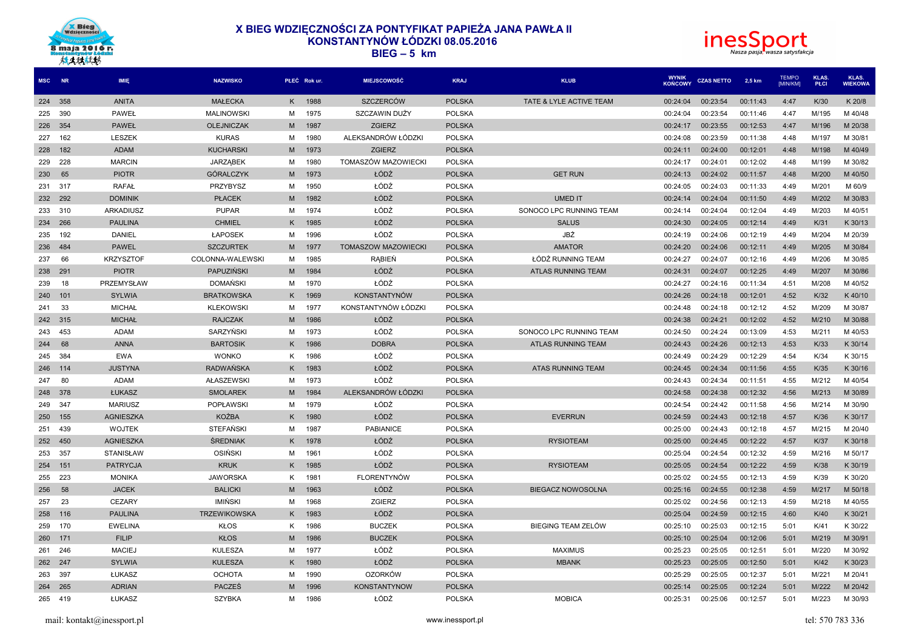



| MSC NR  |         | <b>IMIE</b>      | <b>NAZWISKO</b>        |    | PŁEĆ Rok ur. | <b>MIEJSCOWOŚĆ</b>         | <b>KRAJ</b>   | <b>KLUB</b>               | <b>WYNIK</b><br><b>KOŃCOWY</b> | <b>CZAS NETTO</b> | 2,5 km   | <b>TEMPO</b><br>[MIN/KM] | <b>KLAS</b><br>PŁCI | KLAS.<br><b>WIEKOWA</b> |
|---------|---------|------------------|------------------------|----|--------------|----------------------------|---------------|---------------------------|--------------------------------|-------------------|----------|--------------------------|---------------------|-------------------------|
| 224 358 |         | <b>ANITA</b>     | <b>MAŁECKA</b>         | K. | 1988         | <b>SZCZERCÓW</b>           | <b>POLSKA</b> | TATE & LYLE ACTIVE TEAM   | 00:24:04                       | 00:23:54          | 00:11:43 | 4:47                     | K/30                | K 20/8                  |
| 225     | 390     | PAWEŁ            | <b>MALINOWSKI</b>      | м  | 1975         | SZCZAWIN DUŻY              | <b>POLSKA</b> |                           | 00:24:04                       | 00:23:54          | 00:11:46 | 4:47                     | M/195               | M 40/48                 |
| 226     | 354     | <b>PAWEŁ</b>     | <b>OLEJNICZAK</b>      | М  | 1987         | <b>ZGIERZ</b>              | <b>POLSKA</b> |                           | 00:24:17                       | 00:23:55          | 00:12:53 | 4:47                     | M/196               | M 20/38                 |
| 227     | 162     | <b>LESZEK</b>    | <b>KURAS</b>           | М  | 1980         | ALEKSANDRÓW ŁÓDZKI         | <b>POLSKA</b> |                           | 00:24:08                       | 00:23:59          | 00:11:38 | 4:48                     | M/197               | M 30/81                 |
| 228     | 182     | <b>ADAM</b>      | <b>KUCHARSKI</b>       | M  | 1973         | <b>ZGIERZ</b>              | <b>POLSKA</b> |                           | 00:24:11                       | 00:24:00          | 00:12:01 | 4:48                     | M/198               | M 40/49                 |
| 229     | 228     | <b>MARCIN</b>    | <b>JARZABEK</b>        | м  | 1980         | TOMASZÓW MAZOWIECKI        | <b>POLSKA</b> |                           | 00:24:17                       | 00:24:01          | 00:12:02 | 4:48                     | M/199               | M 30/82                 |
| 230     | 65      | <b>PIOTR</b>     | GÓRALCZYK              | M  | 1973         | ŁÓDŹ                       | <b>POLSKA</b> | <b>GET RUN</b>            | 00:24:13                       | 00:24:02          | 00:11:57 | 4:48                     | M/200               | M 40/50                 |
| 231     | 317     | <b>RAFAŁ</b>     | PRZYBYSZ               | М  | 1950         | ŁÓDŹ                       | <b>POLSKA</b> |                           | 00:24:05                       | 00:24:03          | 00:11:33 | 4:49                     | M/201               | M 60/9                  |
| 232     | 292     | <b>DOMINIK</b>   | <b>PLACEK</b>          | M  | 1982         | ŁÓDŹ                       | <b>POLSKA</b> | <b>UMED IT</b>            | 00:24:14                       | 00:24:04          | 00:11:50 | 4:49                     | M/202               | M 30/83                 |
| 233     | 310     | ARKADIUSZ        | <b>PUPAR</b>           | M  | 1974         | ŁÓDŹ                       | <b>POLSKA</b> | SONOCO LPC RUNNING TEAM   | 00:24:14                       | 00:24:04          | 00:12:04 | 4:49                     | M/203               | M 40/51                 |
| 234     | 266     | <b>PAULINA</b>   | <b>CHMIEL</b>          | K  | 1985         | ŁÓDŹ                       | <b>POLSKA</b> | <b>SALUS</b>              | 00:24:30                       | 00:24:05          | 00:12:14 | 4:49                     | K/31                | K 30/13                 |
| 235     | 192     | DANIEL           | <b>ŁAPOSEK</b>         | м  | 1996         | ŁÓDŹ                       | <b>POLSKA</b> | JBŻ                       | 00:24:19                       | 00:24:06          | 00:12:19 | 4:49                     | M/204               | M 20/39                 |
| 236     | 484     | <b>PAWEL</b>     | <b>SZCZURTEK</b>       | M  | 1977         | <b>TOMASZOW MAZOWIECKI</b> | <b>POLSKA</b> | <b>AMATOR</b>             | 00:24:20                       | 00:24:06          | 00:12:11 | 4:49                     | M/205               | M 30/84                 |
| 237     | 66      | <b>KRZYSZTOF</b> | COLONNA-WALEWSKI       | м  | 1985         | <b>RABIEN</b>              | <b>POLSKA</b> | ŁÓDŹ RUNNING TEAM         | 00:24:27                       | 00:24:07          | 00:12:16 | 4:49                     | M/206               | M 30/85                 |
| 238     | 291     | <b>PIOTR</b>     | <b>PAPUZIŃSKI</b>      | M  | 1984         | ŁÓDŹ                       | <b>POLSKA</b> | <b>ATLAS RUNNING TEAM</b> | 00:24:31                       | 00:24:07          | 00:12:25 | 4:49                     | M/207               | M 30/86                 |
| 239     | 18      | PRZEMYSŁAW       | <b>DOMANSKI</b>        | M  | 1970         | ŁÓDŹ                       | <b>POLSKA</b> |                           | 00:24:27                       | 00:24:16          | 00:11:34 | 4:51                     | M/208               | M 40/52                 |
| 240     | 101     | <b>SYLWIA</b>    | <b>BRATKOWSKA</b>      | K. | 1969         | <b>KONSTANTYNÓW</b>        | <b>POLSKA</b> |                           | 00:24:26                       | 00:24:18          | 00:12:01 | 4:52                     | K/32                | K40/10                  |
| 241     | 33      | <b>MICHAŁ</b>    | <b>KLEKOWSKI</b>       | M  | 1977         | KONSTANTYNÓW ŁÓDZKI        | <b>POLSKA</b> |                           | 00:24:48                       | 00:24:18          | 00:12:12 | 4:52                     | M/209               | M 30/87                 |
| 242 315 |         | <b>MICHAŁ</b>    | <b>RAJCZAK</b>         | M  | 1986         | ŁÓDŹ                       | <b>POLSKA</b> |                           | 00:24:38                       | 00:24:21          | 00:12:02 | 4:52                     | M/210               | M 30/88                 |
| 243     | 453     | <b>ADAM</b>      | SARZYŃSKI              | м  | 1973         | ŁÓDŹ                       | <b>POLSKA</b> | SONOCO LPC RUNNING TEAM   | 00:24:50                       | 00:24:24          | 00:13:09 | 4:53                     | M/211               | M 40/53                 |
| 244     | 68      | <b>ANNA</b>      | <b>BARTOSIK</b>        | K. | 1986         | <b>DOBRA</b>               | <b>POLSKA</b> | <b>ATLAS RUNNING TEAM</b> | 00:24:43                       | 00:24:26          | 00:12:13 | 4:53                     | K/33                | K 30/14                 |
| 245     | 384     | EWA              | <b>WONKO</b>           | ĸ. | 1986         | ŁÓDŹ                       | <b>POLSKA</b> |                           | 00:24:49                       | 00:24:29          | 00:12:29 | 4:54                     | K/34                | K 30/15                 |
| 246     | 114     | <b>JUSTYNA</b>   | <b>RADWAŃSKA</b>       | Κ  | 1983         | ŁÓDŹ                       | <b>POLSKA</b> | ATAS RUNNING TEAM         | 00:24:45                       | 00:24:34          | 00:11:56 | 4:55                     | K/35                | K 30/16                 |
| 247     | 80      | <b>ADAM</b>      | <b>AŁASZEWSKI</b>      | М  | 1973         | ŁÓDŹ                       | <b>POLSKA</b> |                           | 00:24:43                       | 00:24:34          | 00:11:51 | 4:55                     | M/212               | M 40/54                 |
| 248     | 378     | ŁUKASZ           | <b>SMOLAREK</b>        | M  | 1984         | ALEKSANDRÓW ŁÓDZKI         | <b>POLSKA</b> |                           | 00:24:58                       | 00:24:38          | 00:12:32 | 4:56                     | M/213               | M 30/89                 |
| 249     | 347     | <b>MARIUSZ</b>   | <b>POPŁAWSKI</b>       | M  | 1979         | ŁÓDŹ                       | <b>POLSKA</b> |                           | 00:24:54                       | 00:24:42          | 00:11:58 | 4:56                     | M/214               | M 30/90                 |
| 250     | 155     | <b>AGNIESZKA</b> | <b>KOŹBA</b>           | Κ  | 1980         | ŁÓDŹ                       | <b>POLSKA</b> | <b>EVERRUN</b>            | 00:24:59                       | 00:24:43          | 00:12:18 | 4:57                     | K/36                | K 30/17                 |
| 251     | 439     | <b>WOJTEK</b>    | <b>STEFAŃSKI</b>       | м  | 1987         | <b>PABIANICE</b>           | <b>POLSKA</b> |                           | 00:25:00                       | 00:24:43          | 00:12:18 | 4:57                     | M/215               | M 20/40                 |
| 252     | 450     | <b>AGNIESZKA</b> | <b><i>ŚREDNIAK</i></b> | ĸ  | 1978         | ŁÓDŹ                       | <b>POLSKA</b> | <b>RYSIOTEAM</b>          | 00:25:00                       | 00:24:45          | 00:12:22 | 4:57                     | K/37                | K 30/18                 |
| 253     | 357     | <b>STANISŁAW</b> | <b>OSIŃSKI</b>         | м  | 1961         | ŁÓDŹ                       | <b>POLSKA</b> |                           | 00:25:04                       | 00:24:54          | 00:12:32 | 4:59                     | M/216               | M 50/17                 |
| 254     | 151     | <b>PATRYCJA</b>  | <b>KRUK</b>            | K. | 1985         | ŁÓDŹ                       | <b>POLSKA</b> | <b>RYSIOTEAM</b>          | 00:25:05                       | 00:24:54          | 00:12:22 | 4:59                     | K/38                | K 30/19                 |
| 255     | 223     | <b>MONIKA</b>    | <b>JAWORSKA</b>        | ĸ. | 1981         | FLORENTYNÓW                | <b>POLSKA</b> |                           | 00:25:02                       | 00:24:55          | 00:12:13 | 4:59                     | K/39                | K 30/20                 |
| 256     | 58      | <b>JACEK</b>     | <b>BALICKI</b>         | M  | 1963         | ŁÓDŹ                       | <b>POLSKA</b> | <b>BIEGACZ NOWOSOLNA</b>  | 00:25:16                       | 00:24:55          | 00:12:38 | 4:59                     | M/217               | M 50/18                 |
| 257     | 23      | <b>CEZARY</b>    | IMIŃSKI                | М  | 1968         | ZGIERZ                     | <b>POLSKA</b> |                           | 00:25:02                       | 00:24:56          | 00:12:13 | 4:59                     | M/218               | M 40/55                 |
| 258     | 116     | <b>PAULINA</b>   | <b>TRZEWIKOWSKA</b>    | Κ  | 1983         | ŁÓDŹ                       | <b>POLSKA</b> |                           | 00:25:04                       | 00:24:59          | 00:12:15 | 4:60                     | K/40                | K 30/21                 |
| 259     | 170     | <b>EWELINA</b>   | <b>KŁOS</b>            | ĸ. | 1986         | <b>BUCZEK</b>              | <b>POLSKA</b> | BIEGING TEAM ZELÓW        | 00:25:10                       | 00:25:03          | 00:12:15 | 5:01                     | K/41                | K 30/22                 |
| 260     | 171     | <b>FILIP</b>     | <b>KŁOS</b>            | М  | 1986         | <b>BUCZEK</b>              | <b>POLSKA</b> |                           | 00:25:10                       | 00:25:04          | 00:12:06 | 5:01                     | M/219               | M 30/91                 |
| 261     | 246     | <b>MACIEJ</b>    | KULESZA                | м  | 1977         | ŁÓDŹ                       | <b>POLSKA</b> | <b>MAXIMUS</b>            | 00:25:23                       | 00:25:05          | 00:12:51 | 5:01                     | M/220               | M 30/92                 |
| 262     | 247     | <b>SYLWIA</b>    | <b>KULESZA</b>         | ĸ  | 1980         | ŁÓDŹ                       | <b>POLSKA</b> | <b>MBANK</b>              | 00:25:23                       | 00:25:05          | 00:12:50 | 5:01                     | K/42                | K 30/23                 |
| 263     | 397     | ŁUKASZ           | <b>OCHOTA</b>          | M  | 1990         | <b>OZORKÓW</b>             | <b>POLSKA</b> |                           | 00:25:29                       | 00:25:05          | 00:12:37 | 5:01                     | M/221               | M 20/41                 |
| 264     | 265     | <b>ADRIAN</b>    | <b>PACZES</b>          | М  | 1996         | <b>KONSTANTYNOW</b>        | <b>POLSKA</b> |                           | 00:25:14                       | 00:25:05          | 00:12:24 | 5:01                     | M/222               | M 20/42                 |
|         | 265 419 | ŁUKASZ           | <b>SZYBKA</b>          | м  | 1986         | ŁÓDŹ                       | <b>POLSKA</b> | <b>MOBICA</b>             | 00:25:31                       | 00:25:06          | 00:12:57 | 5:01                     | M/223               | M 30/93                 |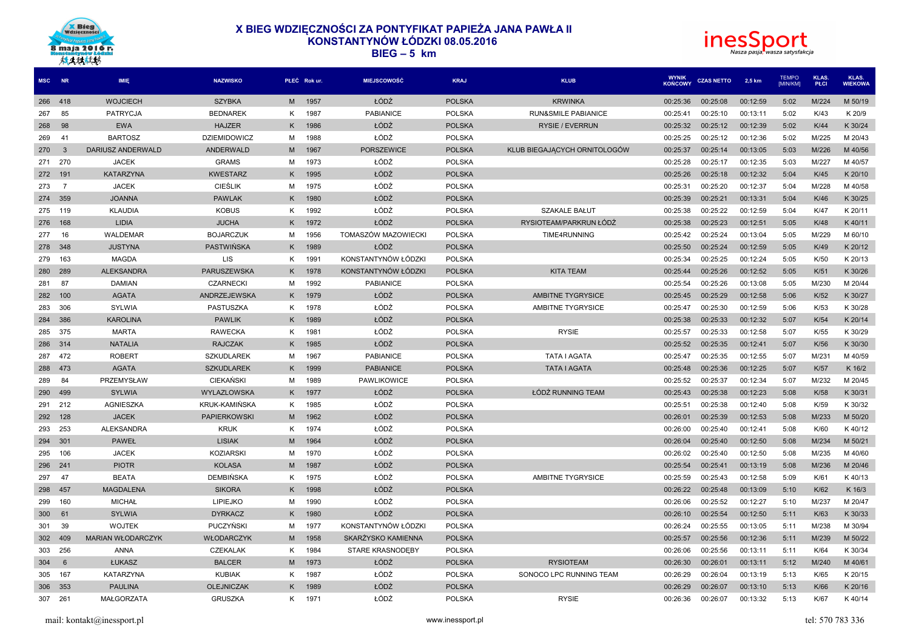



| MSC NR  |                | IMIE                     | <b>NAZWISKO</b>     |    | PŁEĆ Rok ur. | <b>MIEJSCOWOŚĆ</b>  | <b>KRAJ</b>   | <b>KLUB</b>                    | <b>WYNIK</b><br><b>KOŃCOWY</b> | <b>CZAS NETTO</b> | 2,5 km   | <b>TEMPO</b><br>[MIN/KM] | <b>KLAS</b><br>PŁCI | KLAS.<br><b>WIEKOWA</b> |
|---------|----------------|--------------------------|---------------------|----|--------------|---------------------|---------------|--------------------------------|--------------------------------|-------------------|----------|--------------------------|---------------------|-------------------------|
| 266 418 |                | <b>WOJCIECH</b>          | <b>SZYBKA</b>       | M  | 1957         | ŁÓDŹ                | <b>POLSKA</b> | <b>KRWINKA</b>                 | 00:25:36                       | 00:25:08          | 00:12:59 | 5:02                     | M/224               | M 50/19                 |
| 267     | 85             | PATRYCJA                 | <b>BEDNAREK</b>     | K. | 1987         | <b>PABIANICE</b>    | <b>POLSKA</b> | <b>RUN&amp;SMILE PABIANICE</b> | 00:25:41                       | 00:25:10          | 00:13:11 | 5:02                     | K/43                | K 20/9                  |
| 268     | 98             | <b>EWA</b>               | <b>HAJZER</b>       | Κ  | 1986         | ŁÓDŹ                | <b>POLSKA</b> | <b>RYSIE / EVERRUN</b>         | 00:25:32                       | 00:25:12          | 00:12:39 | 5:02                     | K/44                | K 30/24                 |
| 269     | 41             | <b>BARTOSZ</b>           | <b>DZIEMIDOWICZ</b> | м  | 1988         | ŁÓDŹ                | <b>POLSKA</b> |                                | 00:25:25                       | 00:25:12          | 00:12:36 | 5:02                     | M/225               | M 20/43                 |
| 270     | $\overline{3}$ | DARIUSZ ANDERWALD        | <b>ANDERWALD</b>    | M  | 1967         | <b>PORSZEWICE</b>   | <b>POLSKA</b> | KLUB BIEGAJĄCYCH ORNITOLOGÓW   | 00:25:37                       | 00:25:14          | 00:13:05 | 5:03                     | M/226               | M 40/56                 |
| 271     | 270            | <b>JACEK</b>             | <b>GRAMS</b>        | М  | 1973         | ŁÓDŹ                | <b>POLSKA</b> |                                | 00:25:28                       | 00:25:17          | 00:12:35 | 5:03                     | M/227               | M 40/57                 |
| 272     | 191            | <b>KATARZYNA</b>         | <b>KWESTARZ</b>     | K. | 1995         | ŁÓDŹ                | <b>POLSKA</b> |                                | 00:25:26                       | 00:25:18          | 00:12:32 | 5:04                     | K/45                | K 20/10                 |
| 273     | - 7            | <b>JACEK</b>             | <b>CIEŚLIK</b>      | M  | 1975         | ŁÓDŹ                | <b>POLSKA</b> |                                | 00:25:31                       | 00:25:20          | 00:12:37 | 5:04                     | M/228               | M 40/58                 |
| 274     | 359            | <b>JOANNA</b>            | <b>PAWLAK</b>       | K. | 1980         | ŁÓDŹ                | <b>POLSKA</b> |                                | 00:25:39                       | 00:25:21          | 00:13:31 | 5:04                     | K/46                | K 30/25                 |
| 275     | 119            | <b>KLAUDIA</b>           | <b>KOBUS</b>        | K. | 1992         | ŁÓDŹ                | <b>POLSKA</b> | <b>SZAKALE BAŁUT</b>           | 00:25:38                       | 00:25:22          | 00:12:59 | 5:04                     | K/47                | K 20/11                 |
| 276     | 168            | <b>LIDIA</b>             | <b>JUCHA</b>        | K. | 1972         | ŁÓDŹ                | <b>POLSKA</b> | RYSIOTEAM/PARKRUN ŁÓDŹ         | 00:25:38                       | 00:25:23          | 00:12:51 | 5:05                     | K/48                | K40/11                  |
| 277     | 16             | WALDEMAR                 | <b>BOJARCZUK</b>    | М  | 1956         | TOMASZÓW MAZOWIECKI | <b>POLSKA</b> | TIME4RUNNING                   | 00:25:42                       | 00:25:24          | 00:13:04 | 5:05                     | M/229               | M 60/10                 |
| 278     | 348            | <b>JUSTYNA</b>           | PASTWIŃSKA          | Κ  | 1989         | ŁÓDŹ                | <b>POLSKA</b> |                                | 00:25:50                       | 00:25:24          | 00:12:59 | 5:05                     | K/49                | K 20/12                 |
| 279     | 163            | <b>MAGDA</b>             | <b>LIS</b>          | K. | 1991         | KONSTANTYNÓW ŁÓDZKI | <b>POLSKA</b> |                                | 00:25:34                       | 00:25:25          | 00:12:24 | 5:05                     | K/50                | K 20/13                 |
| 280     | 289            | <b>ALEKSANDRA</b>        | <b>PARUSZEWSKA</b>  | K. | 1978         | KONSTANTYNÓW ŁÓDZKI | <b>POLSKA</b> | <b>KITA TEAM</b>               | 00:25:44                       | 00:25:26          | 00:12:52 | 5:05                     | K/51                | K 30/26                 |
| 281     | 87             | <b>DAMIAN</b>            | <b>CZARNECKI</b>    | M  | 1992         | <b>PABIANICE</b>    | <b>POLSKA</b> |                                | 00:25:54                       | 00:25:26          | 00:13:08 | 5:05                     | M/230               | M 20/44                 |
| 282     | 100            | <b>AGATA</b>             | <b>ANDRZEJEWSKA</b> | K. | 1979         | ŁÓDŹ                | <b>POLSKA</b> | <b>AMBITNE TYGRYSICE</b>       | 00:25:45                       | 00:25:29          | 00:12:58 | 5:06                     | K/52                | K 30/27                 |
| 283     | 306            | SYLWIA                   | PASTUSZKA           | K. | 1978         | ŁÓDŹ                | <b>POLSKA</b> | AMBITNE TYGRYSICE              | 00:25:47                       | 00:25:30          | 00:12:59 | 5:06                     | K/53                | K 30/28                 |
| 284     | 386            | <b>KAROLINA</b>          | <b>PAWLIK</b>       | K. | 1989         | ŁÓDŹ                | <b>POLSKA</b> |                                | 00:25:38                       | 00:25:33          | 00:12:32 | 5:07                     | K/54                | K 20/14                 |
| 285     | 375            | <b>MARTA</b>             | <b>RAWECKA</b>      | ĸ. | 1981         | ŁÓDŹ                | <b>POLSKA</b> | <b>RYSIE</b>                   | 00:25:57                       | 00:25:33          | 00:12:58 | 5:07                     | K/55                | K 30/29                 |
| 286 314 |                | <b>NATALIA</b>           | <b>RAJCZAK</b>      | K. | 1985         | ŁÓDŹ                | <b>POLSKA</b> |                                | 00:25:52                       | 00:25:35          | 00:12:41 | 5:07                     | K/56                | K 30/30                 |
| 287     | 472            | <b>ROBERT</b>            | <b>SZKUDLAREK</b>   | М  | 1967         | PABIANICE           | <b>POLSKA</b> | <b>TATA I AGATA</b>            | 00:25:47                       | 00:25:35          | 00:12:55 | 5:07                     | M/231               | M 40/59                 |
| 288     | 473            | <b>AGATA</b>             | <b>SZKUDLAREK</b>   | K. | 1999         | <b>PABIANICE</b>    | <b>POLSKA</b> | <b>TATA I AGATA</b>            | 00:25:48                       | 00:25:36          | 00:12:25 | 5:07                     | K/57                | K 16/2                  |
| 289     | 84             | PRZEMYSŁAW               | <b>CIEKAŃSKI</b>    | м  | 1989         | PAWLIKOWICE         | <b>POLSKA</b> |                                | 00:25:52                       | 00:25:37          | 00:12:34 | 5:07                     | M/232               | M 20/45                 |
| 290     | 499            | <b>SYLWIA</b>            | WYLAZLOWSKA         | K. | 1977         | ŁÓDŹ                | <b>POLSKA</b> | ŁÓDŹ RUNNING TEAM              | 00:25:43                       | 00:25:38          | 00:12:23 | 5:08                     | K/58                | K 30/31                 |
| 291     | 212            | AGNIESZKA                | KRUK-KAMIŃSKA       | K. | 1985         | ŁÓDŹ                | <b>POLSKA</b> |                                | 00:25:51                       | 00:25:38          | 00:12:40 | 5:08                     | K/59                | K 30/32                 |
| 292     | 128            | <b>JACEK</b>             | <b>PAPIERKOWSKI</b> | M  | 1962         | ŁÓDŹ                | <b>POLSKA</b> |                                | 00:26:01                       | 00:25:39          | 00:12:53 | 5:08                     | M/233               | M 50/20                 |
| 293     | 253            | <b>ALEKSANDRA</b>        | <b>KRUK</b>         | K. | 1974         | ŁÓDŹ                | <b>POLSKA</b> |                                | 00:26:00                       | 00:25:40          | 00:12:41 | 5:08                     | K/60                | K 40/12                 |
| 294     | 301            | <b>PAWEŁ</b>             | <b>LISIAK</b>       | M  | 1964         | ŁÓDŹ                | <b>POLSKA</b> |                                | 00:26:04                       | 00:25:40          | 00:12:50 | 5:08                     | M/234               | M 50/21                 |
| 295     | 106            | <b>JACEK</b>             | <b>KOZIARSKI</b>    | M  | 1970         | ŁÓDŹ                | <b>POLSKA</b> |                                | 00:26:02                       | 00:25:40          | 00:12:50 | 5:08                     | M/235               | M 40/60                 |
| 296     | 241            | <b>PIOTR</b>             | <b>KOLASA</b>       | M  | 1987         | ŁÓDŹ                | <b>POLSKA</b> |                                | 00:25:54                       | 00:25:41          | 00:13:19 | 5:08                     | M/236               | M 20/46                 |
| 297     | 47             | <b>BEATA</b>             | DEMBIŃSKA           | K  | 1975         | ŁÓDŹ                | <b>POLSKA</b> | AMBITNE TYGRYSICE              | 00:25:59                       | 00:25:43          | 00:12:58 | 5:09                     | K/61                | K40/13                  |
| 298     | 457            | <b>MAGDALENA</b>         | <b>SIKORA</b>       | K. | 1998         | ŁÓDŹ                | <b>POLSKA</b> |                                | 00:26:22                       | 00:25:48          | 00:13:09 | 5:10                     | K/62                | K 16/3                  |
| 299     | 160            | <b>MICHAŁ</b>            | <b>LIPIEJKO</b>     | м  | 1990         | ŁÓDŹ                | <b>POLSKA</b> |                                | 00:26:06                       | 00:25:52          | 00:12:27 | 5:10                     | M/237               | M 20/47                 |
| 300     | 61             | <b>SYLWIA</b>            | <b>DYRKACZ</b>      | K. | 1980         | ŁÓDŹ                | <b>POLSKA</b> |                                | 00:26:10                       | 00:25:54          | 00:12:50 | 5:11                     | K/63                | K 30/33                 |
| 301     | 39             | <b>WOJTEK</b>            | PUCZYŃSKI           | M  | 1977         | KONSTANTYNÓW ŁÓDZKI | <b>POLSKA</b> |                                | 00:26:24                       | 00:25:55          | 00:13:05 | 5:11                     | M/238               | M 30/94                 |
| 302     | 409            | <b>MARIAN WŁODARCZYK</b> | WŁODARCZYK          | M  | 1958         | SKARŻYSKO KAMIENNA  | <b>POLSKA</b> |                                | 00:25:57                       | 00:25:56          | 00:12:36 | 5:11                     | M/239               | M 50/22                 |
| 303     | 256            | <b>ANNA</b>              | <b>CZEKALAK</b>     | K. | 1984         | STARE KRASNODEBY    | <b>POLSKA</b> |                                | 00:26:06                       | 00:25:56          | 00:13:11 | 5:11                     | K/64                | K 30/34                 |
| 304     | 6              | ŁUKASZ                   | <b>BALCER</b>       | M  | 1973         | ŁÓDŹ                | <b>POLSKA</b> | <b>RYSIOTEAM</b>               | 00:26:30                       | 00:26:01          | 00:13:11 | 5:12                     | M/240               | M 40/61                 |
| 305     | 167            | <b>KATARZYNA</b>         | <b>KUBIAK</b>       | K. | 1987         | ŁÓDŹ                | <b>POLSKA</b> | SONOCO LPC RUNNING TEAM        | 00:26:29                       | 00:26:04          | 00:13:19 | 5:13                     | K/65                | K 20/15                 |
| 306     | 353            | <b>PAULINA</b>           | <b>OLEJNICZAK</b>   | Κ  | 1989         | ŁÓDŹ                | <b>POLSKA</b> |                                | 00:26:29                       | 00:26:07          | 00:13:10 | 5:13                     | K/66                | K 20/16                 |
| 307     | 261            | <b>MAŁGORZATA</b>        | <b>GRUSZKA</b>      | K. | 1971         | ŁÓDŹ                | <b>POLSKA</b> | <b>RYSIE</b>                   | 00:26:36                       | 00:26:07          | 00:13:32 | 5:13                     | K/67                | K40/14                  |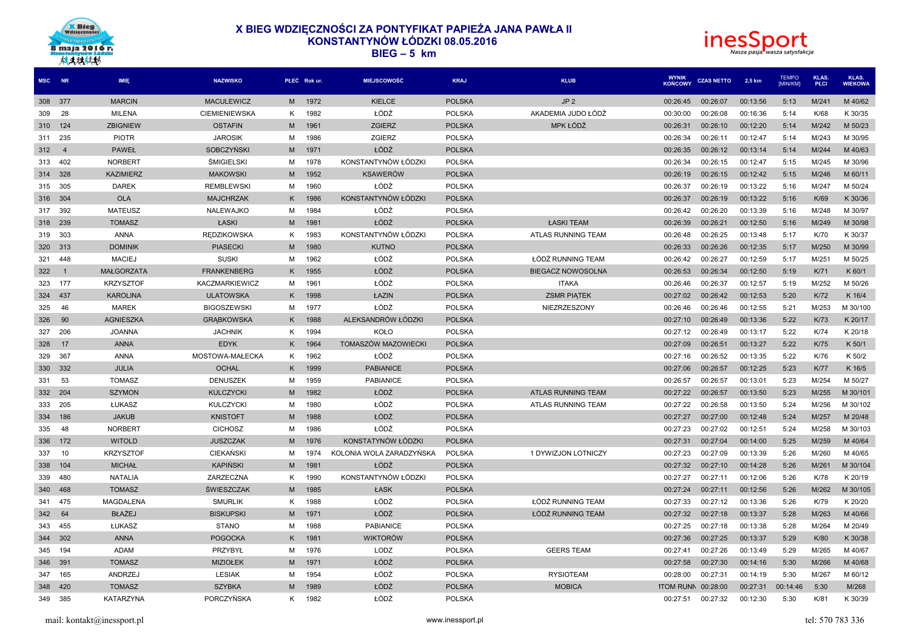



| MSC NR  |                | IMIE              | <b>NAZWISKO</b>       |    | PŁEĆ Rok ur. | <b>MIEJSCOWOŚĆ</b>       | <b>KRAJ</b>   | <b>KLUB</b>               | <b>WYNIK</b><br><b>KOŃCOWY</b> | <b>CZAS NETTO</b> | 2.5 km   | <b>TEMPO</b><br>[MIN/KM] | KLAS.<br>PŁCI | KLAS.<br><b>WIEKOWA</b> |
|---------|----------------|-------------------|-----------------------|----|--------------|--------------------------|---------------|---------------------------|--------------------------------|-------------------|----------|--------------------------|---------------|-------------------------|
| 308 377 |                | <b>MARCIN</b>     | <b>MACULEWICZ</b>     | M  | 1972         | <b>KIELCE</b>            | <b>POLSKA</b> | JP <sub>2</sub>           | 00:26:45                       | 00:26:07          | 00:13:56 | 5:13                     | M/241         | M 40/62                 |
| 309     | 28             | <b>MILENA</b>     | <b>CIEMIENIEWSKA</b>  | K  | 1982         | ŁÓDŹ                     | <b>POLSKA</b> | AKADEMIA JUDO ŁÓDŹ        | 00:30:00                       | 00:26:08          | 00:16:36 | 5:14                     | K/68          | K 30/35                 |
| 310     | 124            | <b>ZBIGNIEW</b>   | <b>OSTAFIN</b>        | M  | 1961         | <b>ZGIERZ</b>            | <b>POLSKA</b> | MPK ŁÓDŹ                  | 00:26:31                       | 00:26:10          | 00:12:20 | 5:14                     | M/242         | M 50/23                 |
| 311     | 235            | <b>PIOTR</b>      | <b>JAROSIK</b>        | М  | 1986         | ZGIERZ                   | <b>POLSKA</b> |                           | 00:26:34                       | 00:26:11          | 00:12:47 | 5:14                     | M/243         | M 30/95                 |
| 312     | $\overline{4}$ | <b>PAWEŁ</b>      | <b>SOBCZYNSKI</b>     | M  | 1971         | ŁÓDŹ                     | <b>POLSKA</b> |                           | 00:26:35                       | 00:26:12          | 00:13:14 | 5:14                     | M/244         | M 40/63                 |
| 313     | 402            | <b>NORBERT</b>    | <b>ŚMIGIELSKI</b>     | M  | 1978         | KONSTANTYNÓW ŁÓDZKI      | <b>POLSKA</b> |                           | 00:26:34                       | 00:26:15          | 00:12:47 | 5:15                     | M/245         | M 30/96                 |
| 314     | 328            | <b>KAZIMIERZ</b>  | <b>MAKOWSKI</b>       | M  | 1952         | <b>KSAWERÓW</b>          | <b>POLSKA</b> |                           | 00:26:19                       | 00:26:15          | 00:12:42 | 5:15                     | M/246         | M 60/11                 |
| 315     | 305            | <b>DAREK</b>      | <b>REMBLEWSKI</b>     | м  | 1960         | ŁÓDŹ                     | <b>POLSKA</b> |                           | 00:26:37                       | 00:26:19          | 00:13:22 | 5:16                     | M/247         | M 50/24                 |
| 316     | 304            | <b>OLA</b>        | <b>MAJCHRZAK</b>      | K  | 1986         | KONSTANTYNÓW ŁÓDZKI      | <b>POLSKA</b> |                           | 00:26:37                       | 00:26:19          | 00:13:22 | 5:16                     | K/69          | K 30/36                 |
| 317     | 392            | MATEUSZ           | NALEWAJKO             | М  | 1984         | ŁÓDŹ                     | <b>POLSKA</b> |                           | 00:26:42                       | 00:26:20          | 00:13:39 | 5:16                     | M/248         | M 30/97                 |
| 318     | 239            | <b>TOMASZ</b>     | ŁASKI                 | M  | 1981         | ŁÓDŹ                     | <b>POLSKA</b> | ŁASKI TEAM                | 00:26:39                       | 00:26:21          | 00:12:50 | 5:16                     | M/249         | M 30/98                 |
| 319     | 303            | ANNA              | <b>REDZIKOWSKA</b>    | Κ  | 1983         | KONSTANTYNÓW ŁÓDZKI      | <b>POLSKA</b> | ATLAS RUNNING TEAM        | 00:26:48                       | 00:26:25          | 00:13:48 | 5:17                     | K/70          | K 30/37                 |
| 320     | 313            | <b>DOMINIK</b>    | <b>PIASECKI</b>       | M  | 1980         | <b>KUTNO</b>             | <b>POLSKA</b> |                           | 00:26:33                       | 00:26:26          | 00:12:35 | 5:17                     | M/250         | M 30/99                 |
| 321     | 448            | <b>MACIEJ</b>     | <b>SUSKI</b>          | м  | 1962         | ŁÓDŹ                     | <b>POLSKA</b> | ŁÓDŹ RUNNING TEAM         | 00:26:42                       | 00:26:27          | 00:12:59 | 5:17                     | M/25'         | M 50/25                 |
| 322     | $\mathbf{1}$   | <b>MAŁGORZATA</b> | <b>FRANKENBERG</b>    | K  | 1955         | ŁÓDŹ                     | <b>POLSKA</b> | <b>BIEGACZ NOWOSOLNA</b>  | 00:26:53                       | 00:26:34          | 00:12:50 | 5:19                     | K/71          | K 60/1                  |
| 323     | 177            | <b>KRZYSZTOF</b>  | <b>KACZMARKIEWICZ</b> | M  | 1961         | ŁÓDŹ                     | <b>POLSKA</b> | <b>ITAKA</b>              | 00:26:46                       | 00:26:37          | 00:12:57 | 5:19                     | M/252         | M 50/26                 |
| 324     | 437            | <b>KAROLINA</b>   | <b>ULATOWSKA</b>      | K  | 1998         | ŁAZIN                    | <b>POLSKA</b> | <b>ZSMR PIATEK</b>        | 00:27:02                       | 00:26:42          | 00:12:53 | 5:20                     | K/72          | K 16/4                  |
| 325     | 46             | <b>MAREK</b>      | <b>BIGOSZEWSKI</b>    | М  | 1977         | ŁÓDŹ                     | <b>POLSKA</b> | NIEZRZESZONY              | 00:26:46                       | 00:26:46          | 00:12:55 | 5:21                     | M/253         | M 30/100                |
| 326     | 90             | <b>AGNIESZKA</b>  | <b>GRABKOWSKA</b>     | K  | 1988         | ALEKSANDRÓW ŁÓDZKI       | <b>POLSKA</b> |                           | 00:27:10                       | 00:26:49          | 00:13:36 | 5:22                     | K/73          | K 20/17                 |
| 327     | 206            | <b>JOANNA</b>     | <b>JACHNIK</b>        | K  | 1994         | KOŁO                     | <b>POLSKA</b> |                           | 00:27:12                       | 00:26:49          | 00:13:17 | 5:22                     | K/74          | K 20/18                 |
| 328     | 17             | <b>ANNA</b>       | <b>EDYK</b>           | K. | 1964         | TOMASZÓW MAZOWIECKI      | <b>POLSKA</b> |                           | 00:27:09                       | 00:26:51          | 00:13:27 | 5:22                     | K/75          | K 50/1                  |
| 329     | 367            | <b>ANNA</b>       | MOSTOWA-MAŁECKA       | K  | 1962         | ŁÓDŹ                     | <b>POLSKA</b> |                           | 00:27:16                       | 00:26:52          | 00:13:35 | 5:22                     | K/76          | K 50/2                  |
| 330     | 332            | <b>JULIA</b>      | <b>OCHAL</b>          | K  | 1999         | <b>PABIANICE</b>         | <b>POLSKA</b> |                           | 00:27:06                       | 00:26:57          | 00:12:25 | 5:23                     | <b>K/77</b>   | K 16/5                  |
| 331     | 53             | <b>TOMASZ</b>     | <b>DENUSZEK</b>       | М  | 1959         | PABIANICE                | <b>POLSKA</b> |                           | 00:26:57                       | 00:26:57          | 00:13:01 | 5:23                     | M/254         | M 50/27                 |
| 332     | 204            | <b>SZYMON</b>     | <b>KULCZYCKI</b>      | M  | 1982         | ŁÓDŹ                     | <b>POLSKA</b> | <b>ATLAS RUNNING TEAM</b> | 00:27:22                       | 00:26:57          | 00:13:50 | 5:23                     | M/255         | M 30/101                |
| 333     | 205            | ŁUKASZ            | <b>KULCZYCKI</b>      | м  | 1980         | ŁÓDŹ                     | <b>POLSKA</b> | ATLAS RUNNING TEAM        | 00:27:22                       | 00:26:58          | 00:13:50 | 5:24                     | M/256         | M 30/102                |
| 334     | 186            | <b>JAKUB</b>      | <b>KNISTOFT</b>       | M  | 1988         | ŁÓDŹ                     | <b>POLSKA</b> |                           | 00:27:27                       | 00:27:00          | 00:12:48 | 5:24                     | M/257         | M 20/48                 |
| 335     | 48             | <b>NORBERT</b>    | <b>CICHOSZ</b>        | м  | 1986         | ŁÓDŹ                     | <b>POLSKA</b> |                           | 00:27:23                       | 00:27:02          | 00:12:51 | 5:24                     | M/258         | M 30/103                |
| 336     | 172            | <b>WITOLD</b>     | <b>JUSZCZAK</b>       | M  | 1976         | KONSTATYNÓW ŁÓDZKI       | <b>POLSKA</b> |                           | 00:27:31                       | 00:27:04          | 00:14:00 | 5:25                     | M/259         | M 40/64                 |
| 337     | 10             | <b>KRZYSZTOF</b>  | CIEKAŃSKI             | M  | 1974         | KOLONIA WOLA ZARADZYŃSKA | <b>POLSKA</b> | 1 DYWIZJON LOTNICZY       | 00:27:23                       | 00:27:09          | 00:13:39 | 5:26                     | M/260         | M 40/65                 |
| 338     | 104            | <b>MICHAŁ</b>     | <b>KAPINSKI</b>       | M  | 1981         | ŁÓDŹ                     | <b>POLSKA</b> |                           | 00:27:32                       | 00:27:10          | 00:14:28 | 5:26                     | M/261         | M 30/104                |
| 339     | 480            | <b>NATALIA</b>    | ZARZECZNA             | K  | 1990         | KONSTANTYNÓW ŁÓDZKI      | <b>POLSKA</b> |                           | 00:27:27                       | 00:27:11          | 00:12:06 | 5:26                     | <b>K/78</b>   | K 20/19                 |
| 340     | 468            | <b>TOMASZ</b>     | ŚWIESZCZAK            | M  | 1985         | ŁASK                     | <b>POLSKA</b> |                           | 00:27:24                       | 00:27:11          | 00:12:56 | 5:26                     | M/262         | M 30/105                |
| 341     | 475            | MAGDALENA         | <b>SMURLIK</b>        | Κ  | 1988         | ŁÓDŹ                     | POLSKA        | ŁÓDŹ RUNNING TEAM         | 00:27:33                       | 00:27:12          | 00:13:36 | 5:26                     | K/79          | K 20/20                 |
| 342     | 64             | <b>BŁAŻEJ</b>     | <b>BISKUPSKI</b>      | M  | 1971         | ŁÓDŹ                     | <b>POLSKA</b> | ŁÓDŹ RUNNING TEAM         | 00:27:32                       | 00:27:18          | 00:13:37 | 5:28                     | M/263         | M 40/66                 |
| 343     | 455            | ŁUKASZ            | <b>STANO</b>          | М  | 1988         | PABIANICE                | <b>POLSKA</b> |                           | 00:27:25                       | 00:27:18          | 00:13:38 | 5:28                     | M/264         | M 20/49                 |
| 344     | 302            | <b>ANNA</b>       | <b>POGOCKA</b>        | K  | 1981         | <b>WIKTORÓW</b>          | <b>POLSKA</b> |                           | 00:27:36                       | 00:27:25          | 00:13:37 | 5:29                     | K/80          | K 30/38                 |
| 345     | 194            | ADAM              | PRZYBYŁ               | М  | 1976         | LODZ                     | <b>POLSKA</b> | <b>GEERS TEAM</b>         | 00:27:41                       | 00:27:26          | 00:13:49 | 5:29                     | M/265         | M 40/67                 |
| 346     | 391            | <b>TOMASZ</b>     | <b>MIZIOŁEK</b>       | M  | 1971         | ŁÓDŹ                     | <b>POLSKA</b> |                           | 00:27:58                       | 00:27:30          | 00:14:16 | 5:30                     | M/266         | M 40/68                 |
| 347     | 165            | ANDRZEJ           | <b>LESIAK</b>         | м  | 1954         | ŁÓDŹ                     | <b>POLSKA</b> | <b>RYSIOTEAM</b>          | 00:28:00                       | 00:27:31          | 00:14:19 | 5:30                     | M/267         | M 60/12                 |
| 348     | 420            | <b>TOMASZ</b>     | <b>SZYBKA</b>         | M  | 1989         | ŁÓDŹ                     | <b>POLSKA</b> | <b>MOBICA</b>             | <b>ITOM RUNN 00:28:00</b>      |                   | 00:27:31 | 00:14:46                 | 5:30          | M/268                   |
| 349     | 385            | <b>KATARZYNA</b>  | PORCZYŃSKA            | K. | 1982         | ŁÓDŹ                     | <b>POLSKA</b> |                           | 00:27:51                       | 00:27:32          | 00:12:30 | 5:30                     | K/81          | K 30/39                 |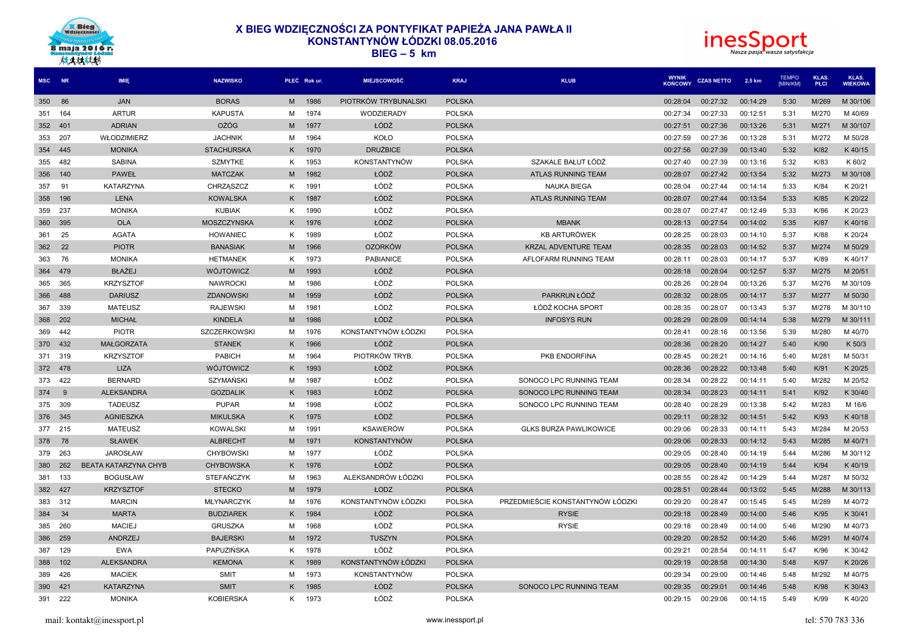



| MSC NR              | IMIE                 | <b>NAZWISKO</b>    |    | PŁEĆ Rok ur. | <b>MIEJSCOWOŚĆ</b>   | <b>KRAJ</b>   | <b>KLUB</b>                      | <b>WYNIK</b><br><b>KONCOWY</b> | <b>CZAS NETTO</b> | 2,5 km   | <b>TEMPO</b><br>[MIN/KM] | <b>KLAS.</b><br>PŁCI | KLAS.<br><b>WIEKOWA</b> |
|---------------------|----------------------|--------------------|----|--------------|----------------------|---------------|----------------------------------|--------------------------------|-------------------|----------|--------------------------|----------------------|-------------------------|
| 86<br>350           | <b>JAN</b>           | <b>BORAS</b>       | M  | 1986         | PIOTRKÓW TRYBUNALSKI | <b>POLSKA</b> |                                  | 00:28:04                       | 00:27:32          | 00:14:29 | 5:30                     | M/269                | M 30/106                |
| 164<br>351          | <b>ARTUR</b>         | <b>KAPUSTA</b>     | M  | 1974         | WODZIERADY           | <b>POLSKA</b> |                                  | 00:27:34                       | 00:27:33          | 00:12:51 | 5:31                     | M/270                | M 40/69                 |
| 352<br>401          | <b>ADRIAN</b>        | <b>OŻÓG</b>        | M  | 1977         | ŁÓDŻ                 | <b>POLSKA</b> |                                  | 00:27:51                       | 00:27:36          | 00:13:26 | 5:31                     | M/271                | M 30/107                |
| 207<br>353          | WŁODZIMIERZ          | <b>JACHNIK</b>     | M  | 1964         | KOŁO                 | <b>POLSKA</b> |                                  | 00:27:59                       | 00:27:36          | 00:13:28 | 5:31                     | M/272                | M 50/28                 |
| 354<br>445          | <b>MONIKA</b>        | <b>STACHURSKA</b>  | K. | 1970         | <b>DRUŻBICE</b>      | <b>POLSKA</b> |                                  | 00:27:56                       | 00:27:39          | 00:13:40 | 5:32                     | K/82                 | K 40/15                 |
| 482<br>355          | SABINA               | <b>SZMYTKE</b>     | K  | 1953         | <b>KONSTANTYNÓW</b>  | <b>POLSKA</b> | SZAKALE BAŁUT ŁÓDŹ               | 00:27:40                       | 00:27:39          | 00:13:16 | 5:32                     | K/83                 | K 60/2                  |
| 356<br>140          | <b>PAWEŁ</b>         | <b>MATCZAK</b>     | M  | 1982         | ŁÓDŹ                 | <b>POLSKA</b> | ATLAS RUNNING TEAM               | 00:28:07                       | 00:27:42          | 00:13:54 | 5:32                     | M/273                | M 30/108                |
| 357<br>91           | <b>KATARZYNA</b>     | CHRZĄSZCZ          | K. | 1991         | ŁÓDŹ                 | <b>POLSKA</b> | <b>NAUKA BIEGA</b>               | 00:28:04                       | 00:27:44          | 00:14:14 | 5:33                     | K/84                 | K 20/21                 |
| 358<br>196          | LENA                 | <b>KOWALSKA</b>    | Κ  | 1987         | ŁÓDŹ                 | <b>POLSKA</b> | ATLAS RUNNING TEAM               | 00:28:07                       | 00:27:44          | 00:13:54 | 5:33                     | K/85                 | K 20/22                 |
| 237<br>359          | <b>MONIKA</b>        | <b>KUBIAK</b>      | K. | 1990         | ŁÓDŹ                 | <b>POLSKA</b> |                                  | 00:28:07                       | 00:27:47          | 00:12:49 | 5:33                     | K/86                 | K 20/23                 |
| 360<br>395          | <b>OLA</b>           | <b>MOSZCZYNSKA</b> | K. | 1976         | ŁÓDŹ                 | <b>POLSKA</b> | <b>MBANK</b>                     | 00:28:13                       | 00:27:54          | 00:14:02 | 5:35                     | K/87                 | K40/16                  |
| 25<br>361           | <b>AGATA</b>         | <b>HOWANIEC</b>    | K  | 1989         | ŁÓDŹ                 | <b>POLSKA</b> | <b>KB ARTURÓWEK</b>              | 00:28:25                       | 00:28:03          | 00:14:10 | 5:37                     | K/88                 | K 20/24                 |
| 362<br>22           | <b>PIOTR</b>         | <b>BANASIAK</b>    | M  | 1966         | <b>OZORKÓW</b>       | <b>POLSKA</b> | KRZAL ADVENTURE TEAM             | 00:28:35                       | 00:28:03          | 00:14:52 | 5:37                     | M/274                | M 50/29                 |
| 76<br>363           | <b>MONIKA</b>        | <b>HETMANEK</b>    | K  | 1973         | <b>PABIANICE</b>     | <b>POLSKA</b> | AFLOFARM RUNNING TEAM            | 00:28:11                       | 00:28:03          | 00:14:17 | 5:37                     | K/89                 | K40/17                  |
| 364<br>479          | <b>BŁAŻEJ</b>        | WÓJTOWICZ          | M  | 1993         | ŁÓDŹ                 | <b>POLSKA</b> |                                  | 00:28:18                       | 00:28:04          | 00:12:57 | 5:37                     | M/275                | M 20/51                 |
| 365<br>365          | <b>KRZYSZTOF</b>     | <b>NAWROCKI</b>    | M  | 1986         | ŁÓDŹ                 | <b>POLSKA</b> |                                  | 00:28:26                       | 00:28:04          | 00:13:26 | 5:37                     | M/276                | M 30/109                |
| 366<br>488          | <b>DARIUSZ</b>       | <b>ZDANOWSKI</b>   | M  | 1959         | ŁÓDŹ                 | <b>POLSKA</b> | PARKRUN ŁÓDŹ                     | 00:28:32                       | 00:28:05          | 00:14:17 | 5:37                     | M/277                | M 50/30                 |
| 339<br>367          | <b>MATEUSZ</b>       | <b>RAJEWSKI</b>    | M  | 1981         | ŁÓDŹ                 | <b>POLSKA</b> | ŁÓDŹ KOCHA SPORT                 | 00:28:35                       | 00:28:07          | 00:13:43 | 5:37                     | M/278                | M 30/110                |
| 202<br>368          | <b>MICHAŁ</b>        | <b>KINDELA</b>     | M  | 1986         | ŁÓDŹ                 | <b>POLSKA</b> | <b>INFOSYS RUN</b>               | 00:28:29                       | 00:28:09          | 00:14:14 | 5:38                     | M/279                | M 30/111                |
| 369<br>442          | <b>PIOTR</b>         | SZCZERKOWSKI       | м  | 1976         | KONSTANTYNÓW ŁÓDZKI  | <b>POLSKA</b> |                                  | 00:28:41                       | 00:28:16          | 00:13:56 | 5:39                     | M/280                | M 40/70                 |
| 370<br>432          | <b>MAŁGORZATA</b>    | <b>STANEK</b>      | K. | 1966         | ŁÓDŹ                 | <b>POLSKA</b> |                                  | 00:28:36                       | 00:28:20          | 00:14:27 | 5:40                     | K/90                 | K 50/3                  |
| 371<br>319          | <b>KRZYSZTOF</b>     | <b>PABICH</b>      | м  | 1964         | PIOTRKÓW TRYB.       | <b>POLSKA</b> | PKB ENDORFINA                    | 00:28:45                       | 00:28:21          | 00:14:16 | 5:40                     | M/281                | M 50/31                 |
| 478<br>372          | <b>LIZA</b>          | WÓJTOWICZ          | K. | 1993         | ŁÓDŹ                 | <b>POLSKA</b> |                                  | 00:28:36                       | 00:28:22          | 00:13:48 | 5:40                     | K/91                 | K 20/25                 |
| 422<br>373          | <b>BERNARD</b>       | <b>SZYMAŃSKI</b>   | M  | 1987         | ŁÓDŹ                 | <b>POLSKA</b> | SONOCO LPC RUNNING TEAM          | 00:28:34                       | 00:28:22          | 00:14:11 | 5:40                     | M/282                | M 20/52                 |
| 374<br>$\mathbf{q}$ | <b>ALEKSANDRA</b>    | <b>GOZDALIK</b>    | K. | 1983         | ŁÓDŹ                 | <b>POLSKA</b> | SONOCO LPC RUNNING TEAM          | 00:28:34                       | 00:28:23          | 00:14:11 | 5:41                     | K/92                 | K 30/40                 |
| 309<br>375          | <b>TADEUSZ</b>       | <b>PUPAR</b>       | М  | 1998         | ŁÓDŹ                 | <b>POLSKA</b> | SONOCO LPC RUNNING TEAM          | 00:28:40                       | 00:28:29          | 00:13:38 | 5:42                     | M/283                | M 16/6                  |
| 345<br>376          | <b>AGNIESZKA</b>     | <b>MIKULSKA</b>    | K. | 1975         | ŁÓDŹ                 | <b>POLSKA</b> |                                  | 00:29:11                       | 00:28:32          | 00:14:51 | 5:42                     | K/93                 | K40/18                  |
| 377<br>215          | <b>MATEUSZ</b>       | <b>KOWALSKI</b>    | М  | 1991         | <b>KSAWERÓW</b>      | <b>POLSKA</b> | <b>GLKS BURZA PAWLIKOWICE</b>    | 00:29:06                       | 00:28:33          | 00:14:11 | 5:43                     | M/284                | M 20/53                 |
| 378<br>78           | <b>SŁAWEK</b>        | <b>ALBRECHT</b>    | M  | 1971         | <b>KONSTANTYNÓW</b>  | <b>POLSKA</b> |                                  | 00:29:06                       | 00:28:33          | 00:14:12 | 5:43                     | M/285                | M 40/71                 |
| 379<br>263          | <b>JAROSŁAW</b>      | <b>CHYBOWSKI</b>   | M  | 1977         | ŁÓDŹ                 | <b>POLSKA</b> |                                  | 00:29:05                       | 00:28:40          | 00:14:19 | 5:44                     | M/286                | M 30/112                |
| 262<br>380          | BEATA KATARZYNA CHYB | <b>CHYBOWSKA</b>   | K. | 1976         | ŁÓDŹ                 | <b>POLSKA</b> |                                  | 00:29:05                       | 00:28:40          | 00:14:19 | 5:44                     | K/94                 | K40/19                  |
| 381<br>133          | <b>BOGUSŁAW</b>      | <b>STEFAŃCZYK</b>  | м  | 1963         | ALEKSANDRÓW ŁÓDZKI   | <b>POLSKA</b> |                                  | 00:28:55                       | 00:28:42          | 00:14:29 | 5:44                     | M/287                | M 50/32                 |
| 427<br>382          | <b>KRZYSZTOF</b>     | <b>STECKO</b>      | M  | 1979         | ŁODZ                 | <b>POLSKA</b> |                                  | 00:28:51                       | 00:28:44          | 00:13:02 | 5:45                     | M/288                | M 30/113                |
| 383<br>312          | <b>MARCIN</b>        | MŁYNARCZYK         | М  | 1976         | KONSTANTYNÓW ŁÓDZKI  | <b>POLSKA</b> | PRZEDMIEŚCIE KONSTANTYNÓW ŁÓDZKI | 00:29:20                       | 00:28:47          | 00:15:45 | 5:45                     | M/289                | M 40/72                 |
| 384<br>34           | <b>MARTA</b>         | <b>BUDZIAREK</b>   | K. | 1984         | ŁÓDŹ                 | <b>POLSKA</b> | <b>RYSIE</b>                     | 00:29:18                       | 00:28:49          | 00:14:00 | 5:46                     | K/95                 | K 30/41                 |
| 385<br>260          | <b>MACIEJ</b>        | <b>GRUSZKA</b>     | M  | 1968         | ŁÓDŹ                 | <b>POLSKA</b> | <b>RYSIE</b>                     | 00:29:18                       | 00:28:49          | 00:14:00 | 5:46                     | M/290                | M 40/73                 |
| 386<br>259          | <b>ANDRZEJ</b>       | <b>BAJERSKI</b>    | M  | 1972         | <b>TUSZYN</b>        | <b>POLSKA</b> |                                  | 00:29:20                       | 00:28:52          | 00:14:20 | 5:46                     | M/291                | M 40/74                 |
| 387<br>129          | <b>EWA</b>           | PAPUZIŃSKA         | Κ  | 1978         | ŁÓDŹ                 | <b>POLSKA</b> |                                  | 00:29:21                       | 00:28:54          | 00:14:11 | 5:47                     | K/96                 | K 30/42                 |
| 102<br>388          | <b>ALEKSANDRA</b>    | <b>KEMONA</b>      | K. | 1989         | KONSTANTYNÓW ŁÓDZKI  | <b>POLSKA</b> |                                  | 00:29:19                       | 00:28:58          | 00:14:30 | 5:48                     | K/97                 | K 20/26                 |
| 389<br>426          |                      |                    |    | 1973         | <b>KONSTANTYNÓW</b>  | <b>POLSKA</b> |                                  | 00:29:34                       | 00:29:00          | 00:14:46 | 5:48                     | M/292                | M 40/75                 |
|                     | <b>MACIEK</b>        | <b>SMIT</b>        | м  |              |                      |               |                                  |                                |                   |          |                          |                      |                         |
| 390<br>421          | <b>KATARZYNA</b>     | <b>SMIT</b>        | K. | 1985         | ŁÓDŹ                 | <b>POLSKA</b> | SONOCO LPC RUNNING TEAM          | 00:29:35                       | 00:29:01          | 00:14:46 | 5:48                     | K/98                 | K 30/43                 |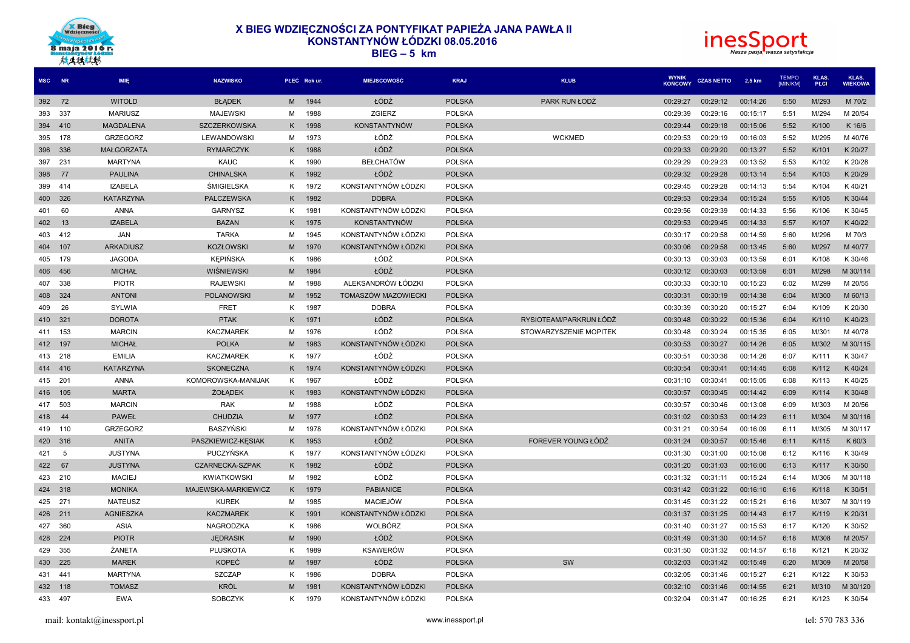



|        | MSC NR         | <b>IMIE</b>       | <b>NAZWISKO</b>     |                | PŁEĆ Rok ur. | <b>MIEJSCOWOŚĆ</b>  | <b>KRAJ</b>   | <b>KLUB</b>            | <b>WYNIK</b><br><b>KOŃCOWY</b> | <b>CZAS NETTO</b> | 2,5 km   | <b>TEMPO</b><br>[MIN/KM] | KLAS.<br>PŁCI | KLAS.<br><b>WIEKOWA</b> |
|--------|----------------|-------------------|---------------------|----------------|--------------|---------------------|---------------|------------------------|--------------------------------|-------------------|----------|--------------------------|---------------|-------------------------|
| 392 72 |                | <b>WITOLD</b>     | <b>BŁADEK</b>       | M <sub>1</sub> | 1944         | ŁÓDŹ                | <b>POLSKA</b> | PARK RUN ŁODŹ          | 00:29:27                       | 00:29:12          | 00:14:26 | 5:50                     | M/293         | M 70/2                  |
| 393    | 337            | <b>MARIUSZ</b>    | <b>MAJEWSKI</b>     | м              | 1988         | ZGIERZ              | <b>POLSKA</b> |                        | 00:29:39                       | 00:29:16          | 00:15:17 | 5:51                     | M/294         | M 20/54                 |
| 394    | 410            | <b>MAGDALENA</b>  | <b>SZCZERKOWSKA</b> | Κ              | 1998         | <b>KONSTANTYNÓW</b> | <b>POLSKA</b> |                        | 00:29:44                       | 00:29:18          | 00:15:06 | 5:52                     | K/100         | K 16/6                  |
| 395    | 178            | GRZEGORZ          | LEWANDOWSKI         | M              | 1973         | ŁÓDŹ                | POLSKA        | <b>WCKMED</b>          | 00:29:53                       | 00:29:19          | 00:16:03 | 5:52                     | M/295         | M 40/76                 |
| 396    | 336            | <b>MAŁGORZATA</b> | <b>RYMARCZYK</b>    | K.             | 1988         | ŁÓDŹ                | <b>POLSKA</b> |                        | 00:29:33                       | 00:29:20          | 00:13:27 | 5:52                     | K/101         | K 20/27                 |
| 397    | 231            | <b>MARTYNA</b>    | KAUC                | Κ              | 1990         | <b>BEŁCHATÓW</b>    | <b>POLSKA</b> |                        | 00:29:29                       | 00:29:23          | 00:13:52 | 5:53                     | K/102         | K 20/28                 |
| 398    | 77             | <b>PAULINA</b>    | <b>CHINALSKA</b>    | K.             | 1992         | ŁÓDŹ                | <b>POLSKA</b> |                        | 00:29:32                       | 00:29:28          | 00:13:14 | 5:54                     | K/103         | K 20/29                 |
| 399    | -414           | <b>IZABELA</b>    | ŚMIGIELSKA          | K              | 1972         | KONSTANTYNÓW ŁÓDZKI | <b>POLSKA</b> |                        | 00:29:45                       | 00:29:28          | 00:14:13 | 5:54                     | K/104         | K 40/21                 |
| 400    | 326            | <b>KATARZYNA</b>  | <b>PALCZEWSKA</b>   | K.             | 1982         | <b>DOBRA</b>        | <b>POLSKA</b> |                        | 00:29:53                       | 00:29:34          | 00:15:24 | 5:55                     | K/105         | K 30/44                 |
| 401    | 60             | <b>ANNA</b>       | <b>GARNYSZ</b>      | Κ              | 1981         | KONSTANTYNÓW ŁÓDZKI | <b>POLSKA</b> |                        | 00:29:56                       | 00:29:39          | 00:14:33 | 5:56                     | K/106         | K 30/45                 |
| 402    | 13             | <b>IZABELA</b>    | <b>BAZAN</b>        | K.             | 1975         | <b>KONSTANTYNÓW</b> | <b>POLSKA</b> |                        | 00:29:53                       | 00:29:45          | 00:14:33 | 5:57                     | K/107         | K 40/22                 |
| 403    | 412            | JAN               | <b>TARKA</b>        | M              | 1945         | KONSTANTYNÓW ŁÓDZKI | <b>POLSKA</b> |                        | 00:30:17                       | 00:29:58          | 00:14:59 | 5:60                     | M/296         | M 70/3                  |
| 404    | 107            | <b>ARKADIUSZ</b>  | <b>KOZŁOWSKI</b>    | M              | 1970         | KONSTANTYNÓW ŁÓDZKI | <b>POLSKA</b> |                        | 00:30:06                       | 00:29:58          | 00:13:45 | 5:60                     | M/297         | M 40/77                 |
| 405    | 179            | <b>JAGODA</b>     | <b>KEPIŃSKA</b>     | K              | 1986         | ŁÓDŹ                | <b>POLSKA</b> |                        | 00:30:13                       | 00:30:03          | 00:13:59 | 6:01                     | K/108         | K 30/46                 |
| 406    | 456            | <b>MICHAŁ</b>     | WIŚNIEWSKI          | M              | 1984         | ŁÓDŹ                | <b>POLSKA</b> |                        | 00:30:12                       | 00:30:03          | 00:13:59 | 6:01                     | M/298         | M 30/114                |
| 407    | 338            | <b>PIOTR</b>      | <b>RAJEWSKI</b>     | м              | 1988         | ALEKSANDRÓW ŁÓDZKI  | <b>POLSKA</b> |                        | 00:30:33                       | 00:30:10          | 00:15:23 | 6:02                     | M/299         | M 20/55                 |
| 408    | 324            | <b>ANTONI</b>     | <b>POLANOWSKI</b>   | M              | 1952         | TOMASZÓW MAZOWIECKI | <b>POLSKA</b> |                        | 00:30:31                       | 00:30:19          | 00:14:38 | 6:04                     | M/300         | M 60/13                 |
| 409    | 26             | <b>SYLWIA</b>     | <b>FRET</b>         | Κ              | 1987         | <b>DOBRA</b>        | <b>POLSKA</b> |                        | 00:30:39                       | 00:30:20          | 00:15:27 | 6:04                     | K/109         | K 20/30                 |
|        | 410 321        | <b>DOROTA</b>     | <b>PTAK</b>         | K.             | 1971         | ŁÓDŹ                | <b>POLSKA</b> | RYSIOTEAM/PARKRUN ŁÓDŹ | 00:30:48                       | 00:30:22          | 00:15:36 | 6:04                     | K/110         | K40/23                  |
| 411    | 153            | <b>MARCIN</b>     | <b>KACZMAREK</b>    | M              | 1976         | ŁÓDŹ                | <b>POLSKA</b> | STOWARZYSZENIE MOPITEK | 00:30:48                       | 00:30:24          | 00:15:35 | 6:05                     | M/301         | M 40/78                 |
|        | 412 197        | <b>MICHAŁ</b>     | <b>POLKA</b>        | M              | 1983         | KONSTANTYNÓW ŁÓDZKI | <b>POLSKA</b> |                        | 00:30:53                       | 00:30:27          | 00:14:26 | 6:05                     | M/302         | M 30/115                |
|        | 413 218        | <b>EMILIA</b>     | <b>KACZMAREK</b>    | K              | 1977         | ŁÓDŹ                | <b>POLSKA</b> |                        | 00:30:51                       | 00:30:36          | 00:14:26 | 6:07                     | K/111         | K 30/47                 |
|        | 414 416        | <b>KATARZYNA</b>  | <b>SKONECZNA</b>    | K.             | 1974         | KONSTANTYNÓW ŁÓDZKI | <b>POLSKA</b> |                        | 00:30:54                       | 00:30:41          | 00:14:45 | 6:08                     | K/112         | K 40/24                 |
| 415    | 201            | <b>ANNA</b>       | KOMOROWSKA-MANIJAK  | K.             | 1967         | ŁÓDŹ                | <b>POLSKA</b> |                        | 00:31:10                       | 00:30:41          | 00:15:05 | 6:08                     | K/113         | K40/25                  |
| 416    | 105            | <b>MARTA</b>      | <b>ŻOŁADEK</b>      | K.             | 1983         | KONSTANTYNÓW ŁÓDZKI | <b>POLSKA</b> |                        | 00:30:57                       | 00:30:45          | 00:14:42 | 6:09                     | K/114         | K 30/48                 |
| 417    | 503            | <b>MARCIN</b>     | <b>RAK</b>          | M              | 1988         | ŁÓDŹ                | <b>POLSKA</b> |                        | 00:30:57                       | 00:30:46          | 00:13:08 | 6:09                     | M/303         | M 20/56                 |
| 418    | $\Delta\Delta$ | PAWEŁ             | <b>CHUDZIA</b>      | M              | 1977         | ŁÓDŹ                | <b>POLSKA</b> |                        | 00:31:02                       | 00:30:53          | 00:14:23 | 6:11                     | M/304         | M 30/116                |
|        | 419 110        | <b>GRZEGORZ</b>   | <b>BASZYŃSKI</b>    | M              | 1978         | KONSTANTYNÓW ŁÓDZKI | <b>POLSKA</b> |                        | 00:31:21                       | 00:30:54          | 00:16:09 | 6:11                     | M/305         | M 30/117                |
|        | 420 316        | <b>ANITA</b>      | PASZKIEWICZ-KESIAK  | K.             | 1953         | ŁÓDŹ                | <b>POLSKA</b> | FOREVER YOUNG ŁÓDŹ     | 00:31:24                       | 00:30:57          | 00:15:46 | 6:11                     | K/115         | K 60/3                  |
| 421    | 5              | <b>JUSTYNA</b>    | <b>PUCZYŃSKA</b>    | K              | 1977         | KONSTANTYNÓW ŁÓDZKI | <b>POLSKA</b> |                        | 00:31:30                       | 00:31:00          | 00:15:08 | 6:12                     | K/116         | K 30/49                 |
| 422    | 67             | <b>JUSTYNA</b>    | CZARNECKA-SZPAK     | K.             | 1982         | ŁÓDŹ                | <b>POLSKA</b> |                        | 00:31:20                       | 00:31:03          | 00:16:00 | 6:13                     | K/117         | K 30/50                 |
| 423    | 210            | <b>MACIEJ</b>     | <b>KWIATKOWSKI</b>  | м              | 1982         | ŁÓDŹ                | <b>POLSKA</b> |                        | 00:31:32                       | 00:31:11          | 00:15:24 | 6:14                     | M/306         | M 30/118                |
| 424    | 318            | <b>MONIKA</b>     | MAJEWSKA-MARKIEWICZ | K.             | 1979         | <b>PABIANICE</b>    | <b>POLSKA</b> |                        | 00:31:42                       | 00:31:22          | 00:16:10 | 6:16                     | K/118         | K 30/51                 |
| 425    | 271            | <b>MATEUSZ</b>    | <b>KUREK</b>        | М              | 1985         | <b>MACIEJÓW</b>     | <b>POLSKA</b> |                        | 00:31:45                       | 00:31:22          | 00:15:21 | 6:16                     | M/307         | M 30/119                |
|        | 426 211        | <b>AGNIESZKA</b>  | <b>KACZMAREK</b>    | K.             | 1991         | KONSTANTYNÓW ŁÓDZKI | <b>POLSKA</b> |                        | 00:31:37                       | 00:31:25          | 00:14:43 | 6:17                     | K/119         | K 20/31                 |
| 427    | 360            | <b>ASIA</b>       | NAGRODZKA           | K.             | 1986         | WOLBÓRZ             | <b>POLSKA</b> |                        | 00:31:40                       | 00:31:27          | 00:15:53 | 6:17                     | K/120         | K 30/52                 |
| 428    | 224            | <b>PIOTR</b>      | <b>JEDRASIK</b>     | M              | 1990         | ŁÓDŹ                | <b>POLSKA</b> |                        | 00:31:49                       | 00:31:30          | 00:14:57 | 6:18                     | M/308         | M 20/57                 |
| 429    | 355            | ŻANETA            | <b>PLUSKOTA</b>     | K              | 1989         | <b>KSAWERÓW</b>     | <b>POLSKA</b> |                        | 00:31:50                       | 00:31:32          | 00:14:57 | 6:18                     | K/121         | K 20/32                 |
|        | 430 225        | <b>MAREK</b>      | <b>KOPEĆ</b>        | M              | 1987         | ŁÓDŹ                | <b>POLSKA</b> | SW                     | 00:32:03                       | 00:31:42          | 00:15:49 | 6:20                     | M/309         | M 20/58                 |
| 431    | -441           | <b>MARTYNA</b>    | <b>SZCZAP</b>       | Κ              | 1986         | <b>DOBRA</b>        | <b>POLSKA</b> |                        | 00:32:05                       | 00:31:46          | 00:15:27 | 6:21                     | K/122         | K 30/53                 |
|        | 432 118        | <b>TOMASZ</b>     | <b>KRÓL</b>         | M              | 1981         | KONSTANTYNÓW ŁÓDZKI | <b>POLSKA</b> |                        | 00:32:10                       | 00:31:46          | 00:14:55 | 6:21                     | M/310         | M 30/120                |
| 433    | 497            | <b>EWA</b>        | <b>SOBCZYK</b>      | ĸ              | 1979         | KONSTANTYNÓW ŁÓDZKI | <b>POLSKA</b> |                        | 00:32:04                       | 00:31:47          | 00:16:25 | 6:21                     | K/123         | K 30/54                 |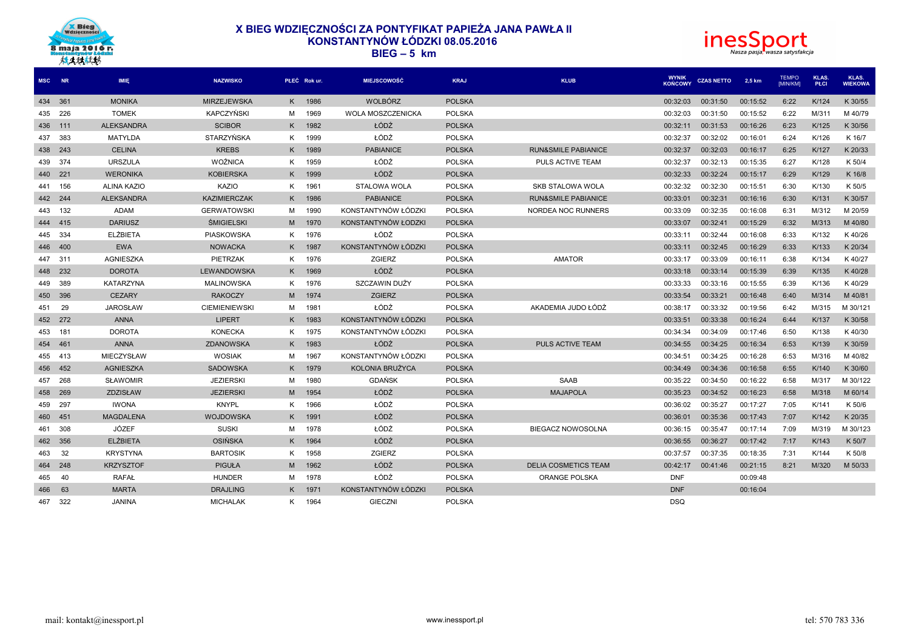



| MSC NR  |     | <b>IMIE</b>        | <b>NAZWISKO</b>      |                | PŁEĆ Rok ur. | <b>MIEJSCOWOŚĆ</b>  | <b>KRAJ</b>   | <b>KLUB</b>                    | <b>WYNIK</b><br><b>KOŃCOWY</b> | <b>CZAS NETTO</b> | 2,5 km   | <b>TEMPO</b><br><b>IMIN/KMI</b> | <b>KLAS.</b><br>PŁCI | KLAS.<br><b>WIEKOWA</b> |
|---------|-----|--------------------|----------------------|----------------|--------------|---------------------|---------------|--------------------------------|--------------------------------|-------------------|----------|---------------------------------|----------------------|-------------------------|
| 434 361 |     | <b>MONIKA</b>      | <b>MIRZEJEWSKA</b>   |                | K 1986       | <b>WOLBÓRZ</b>      | <b>POLSKA</b> |                                | 00:32:03                       | 00:31:50          | 00:15:52 | 6:22                            | K/124                | K 30/55                 |
| 435     | 226 | <b>TOMEK</b>       | <b>KAPCZYŃSKI</b>    | M              | 1969         | WOLA MOSZCZENICKA   | <b>POLSKA</b> |                                | 00:32:03                       | 00:31:50          | 00:15:52 | 6:22                            | M/311                | M 40/79                 |
| 436     | 111 | <b>ALEKSANDRA</b>  | <b>SCIBOR</b>        | K.             | 1982         | ŁÓDŹ                | <b>POLSKA</b> |                                | 00:32:11                       | 00:31:53          | 00:16:26 | 6:23                            | K/125                | K 30/56                 |
| 437     | 383 | MATYLDA            | STARZYŃSKA           | K              | 1999         | ŁÓDŹ                | <b>POLSKA</b> |                                | 00:32:37                       | 00:32:02          | 00:16:01 | 6:24                            | K/126                | K 16/7                  |
| 438     | 243 | <b>CELINA</b>      | <b>KREBS</b>         | K              | 1989         | <b>PABIANICE</b>    | <b>POLSKA</b> | <b>RUN&amp;SMILE PABIANICE</b> | 00:32:37                       | 00:32:03          | 00:16:17 | 6:25                            | K/127                | K 20/33                 |
| 439     | 374 | <b>URSZULA</b>     | <b>WOŹNICA</b>       | K              | 1959         | ŁÓDŹ                | <b>POLSKA</b> | PULS ACTIVE TEAM               | 00:32:37                       | 00:32:13          | 00:15:35 | 6:27                            | K/128                | K 50/4                  |
| 440     | 221 | <b>WERONIKA</b>    | <b>KOBIERSKA</b>     | K.             | 1999         | ŁÓDŹ                | <b>POLSKA</b> |                                | 00:32:33                       | 00:32:24          | 00:15:17 | 6:29                            | K/129                | K 16/8                  |
| 441     | 156 | <b>ALINA KAZIO</b> | KAZIO                | K              | 1961         | STALOWA WOLA        | <b>POLSKA</b> | <b>SKB STALOWA WOLA</b>        | 00:32:32                       | 00:32:30          | 00:15:51 | 6:30                            | K/130                | K 50/5                  |
| 442 244 |     | <b>ALEKSANDRA</b>  | <b>KAZIMIERCZAK</b>  | K.             | 1986         | <b>PABIANICE</b>    | <b>POLSKA</b> | <b>RUN&amp;SMILE PABIANICE</b> | 00:33:01                       | 00:32:31          | 00:16:16 | 6:30                            | K/131                | K 30/57                 |
| 443     | 132 | <b>ADAM</b>        | <b>GERWATOWSKI</b>   | М              | 1990         | KONSTANTYNÓW ŁÓDZKI | <b>POLSKA</b> | NORDEA NOC RUNNERS             | 00:33:09                       | 00:32:35          | 00:16:08 | 6:31                            | M/312                | M 20/59                 |
| 444     | 415 | <b>DARIUSZ</b>     | <b>ŚMIGIELSKI</b>    | M              | 1970         | KONSTANTYNÓW ŁODZKI | <b>POLSKA</b> |                                | 00:33:07                       | 00:32:41          | 00:15:29 | 6:32                            | M/313                | M 40/80                 |
| 445     | 334 | <b>ELŻBIETA</b>    | <b>PIASKOWSKA</b>    | K.             | 1976         | ŁÓDŹ                | <b>POLSKA</b> |                                | 00:33:11                       | 00:32:44          | 00:16:08 | 6:33                            | K/132                | K 40/26                 |
| 446     | 400 | <b>EWA</b>         | <b>NOWACKA</b>       | K.             | 1987         | KONSTANTYNÓW ŁÓDZKI | <b>POLSKA</b> |                                | 00:33:11                       | 00:32:45          | 00:16:29 | 6:33                            | K/133                | K 20/34                 |
| 447     | 311 | AGNIESZKA          | PIETRZAK             | K.             | 1976         | ZGIERZ              | <b>POLSKA</b> | <b>AMATOR</b>                  | 00:33:17                       | 00:33:09          | 00:16:11 | 6:38                            | K/134                | K 40/27                 |
| 448     | 232 | <b>DOROTA</b>      | <b>LEWANDOWSKA</b>   | K.             | 1969         | ŁÓDŹ                | <b>POLSKA</b> |                                | 00:33:18                       | 00:33:14          | 00:15:39 | 6:39                            | K/135                | K 40/28                 |
| 449     | 389 | <b>KATARZYNA</b>   | <b>MALINOWSKA</b>    | K.             | 1976         | SZCZAWIN DUŻY       | <b>POLSKA</b> |                                | 00:33:33                       | 00:33:16          | 00:15:55 | 6:39                            | K/136                | K40/29                  |
| 450     | 396 | <b>CEZARY</b>      | <b>RAKOCZY</b>       | M              | 1974         | <b>ZGIERZ</b>       | <b>POLSKA</b> |                                | 00:33:54                       | 00:33:21          | 00:16:48 | 6:40                            | M/314                | M 40/81                 |
| 451     | 29  | <b>JAROSŁAW</b>    | <b>CIEMIENIEWSKI</b> | м              | 1981         | ŁÓDŹ                | <b>POLSKA</b> | AKADEMIA JUDO ŁÓDŹ             | 00:38:17                       | 00:33:32          | 00:19:56 | 6:42                            | M/315                | M 30/121                |
| 452     | 272 | <b>ANNA</b>        | <b>LIPERT</b>        | K              | 1983         | KONSTANTYNÓW ŁÓDZKI | <b>POLSKA</b> |                                | 00:33:51                       | 00:33:38          | 00:16:24 | 6:44                            | K/137                | K 30/58                 |
| 453     | 181 | <b>DOROTA</b>      | <b>KONECKA</b>       | K              | 1975         | KONSTANTYNÓW ŁÓDZKI | <b>POLSKA</b> |                                | 00:34:34                       | 00:34:09          | 00:17:46 | 6:50                            | K/138                | K 40/30                 |
| 454     | 461 | <b>ANNA</b>        | <b>ZDANOWSKA</b>     | K              | 1983         | ŁÓDŹ                | <b>POLSKA</b> | PULS ACTIVE TEAM               | 00:34:55                       | 00:34:25          | 00:16:34 | 6:53                            | K/139                | K 30/59                 |
| 455     | 413 | MIECZYSŁAW         | <b>WOSIAK</b>        | M              | 1967         | KONSTANTYNÓW ŁÓDZKI | <b>POLSKA</b> |                                | 00:34:51                       | 00:34:25          | 00:16:28 | 6:53                            | M/316                | M 40/82                 |
| 456     | 452 | AGNIESZKA          | <b>SADOWSKA</b>      | K -            | 1979         | KOLONIA BRUŽYCA     | <b>POLSKA</b> |                                | 00:34:49                       | 00:34:36          | 00:16:58 | 6:55                            | K/140                | K 30/60                 |
| 457     | 268 | <b>SŁAWOMIR</b>    | <b>JEZIERSKI</b>     | М              | 1980         | <b>GDAŃSK</b>       | <b>POLSKA</b> | <b>SAAB</b>                    | 00:35:22                       | 00:34:50          | 00:16:22 | 6:58                            | M/317                | M 30/122                |
| 458     | 269 | ZDZISŁAW           | <b>JEZIERSKI</b>     | M <sub>1</sub> | 1954         | ŁÓDŹ                | <b>POLSKA</b> | <b>MAJAPOLA</b>                | 00:35:23                       | 00:34:52          | 00:16:23 | 6:58                            | M/318                | M 60/14                 |
| 459     | 297 | <b>IWONA</b>       | <b>KNYPL</b>         | K.             | 1966         | ŁÓDŹ                | <b>POLSKA</b> |                                | 00:36:02                       | 00:35:27          | 00:17:27 | 7:05                            | K/141                | K 50/6                  |
| 460     | 451 | <b>MAGDALENA</b>   | <b>WOJDOWSKA</b>     | K.             | 1991         | ŁÓDŹ                | <b>POLSKA</b> |                                | 00:36:01                       | 00:35:36          | 00:17:43 | 7:07                            | K/142                | K 20/35                 |
| 461     | 308 | JÓZEF              | <b>SUSKI</b>         | M              | 1978         | ŁÓDŻ                | <b>POLSKA</b> | <b>BIEGACZ NOWOSOLNA</b>       | 00:36:15                       | 00:35:47          | 00:17:14 | 7:09                            | M/319                | M 30/123                |
| 462     | 356 | <b>ELŻBIETA</b>    | <b>OSIŃSKA</b>       | K.             | 1964         | ŁÓDŹ                | <b>POLSKA</b> |                                | 00:36:55                       | 00:36:27          | 00:17:42 | 7:17                            | K/143                | K 50/7                  |
| 463     | 32  | <b>KRYSTYNA</b>    | <b>BARTOSIK</b>      | K.             | 1958         | <b>ZGIERZ</b>       | <b>POLSKA</b> |                                | 00:37:57                       | 00:37:35          | 00:18:35 | 7:31                            | K/144                | K 50/8                  |
| 464     | 248 | <b>KRZYSZTOF</b>   | <b>PIGUŁA</b>        | M              | 1962         | ŁÓDŹ                | <b>POLSKA</b> | <b>DELIA COSMETICS TEAM</b>    | 00:42:17                       | 00:41:46          | 00:21:15 | 8:21                            | M/320                | M 50/33                 |
| 465     | 40  | <b>RAFAŁ</b>       | <b>HUNDER</b>        | м              | 1978         | ŁÓDŹ                | <b>POLSKA</b> | ORANGE POLSKA                  | <b>DNF</b>                     |                   | 00:09:48 |                                 |                      |                         |
| 466     | 63  | <b>MARTA</b>       | <b>DRAJLING</b>      | K.             | 1971         | KONSTANTYNÓW ŁÓDZKI | <b>POLSKA</b> |                                | <b>DNF</b>                     |                   | 00:16:04 |                                 |                      |                         |
| 467     | 322 | <b>JANINA</b>      | <b>MICHALAK</b>      | K              | 1964         | <b>GIECZNI</b>      | <b>POLSKA</b> |                                | <b>DSO</b>                     |                   |          |                                 |                      |                         |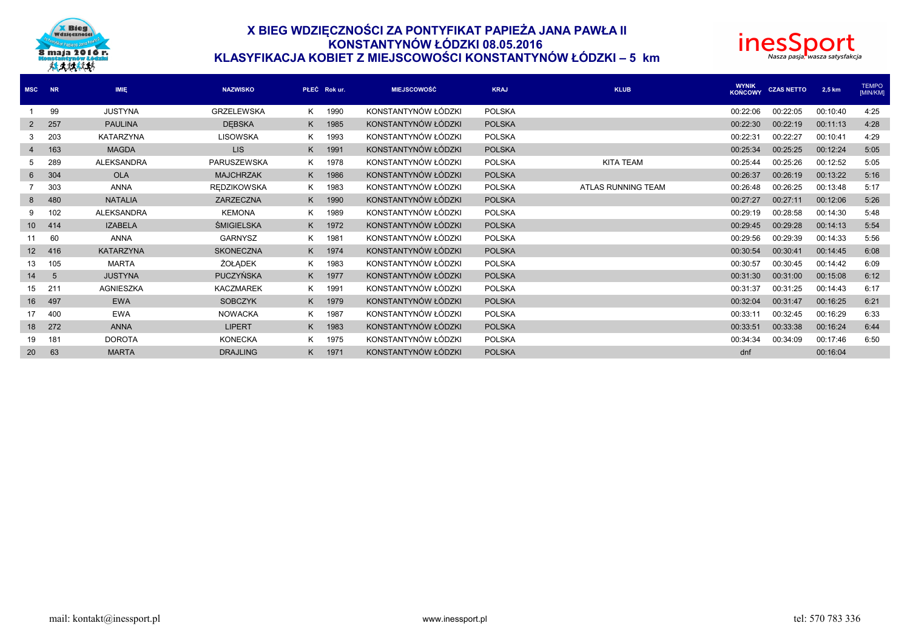

# **X BIEG WDZIĘCZNOŚCI ZA PONTYFIKAT PAPIEŻA JANA PAWŁA II KONSTANTYNÓW ŁÓDZKI 08.05.2016 KLASYFIKACJA KOBIET Z MIEJSCOWOŚCI KONSTANTYNÓW ŁÓDZKI – 5 km**



| <b>MSC</b>      | NR              | <b>IMIE</b>       | <b>NAZWISKO</b>    | PŁEĆ Rok ur. |      | <b>MIEJSCOWOŚĆ</b>  | <b>KRAJ</b>   | <b>KLUB</b>        | <b>WYNIK</b><br>KOŃCOWY | <b>CZAS NETTO</b> | 2,5 km   | <b>TEMPO</b><br>[MIN/KM] |
|-----------------|-----------------|-------------------|--------------------|--------------|------|---------------------|---------------|--------------------|-------------------------|-------------------|----------|--------------------------|
|                 | 99              | <b>JUSTYNA</b>    | <b>GRZELEWSKA</b>  | K.           | 1990 | KONSTANTYNÓW ŁÓDZKI | <b>POLSKA</b> |                    | 00:22:06                | 00:22:05          | 00:10:40 | 4:25                     |
| $\mathbf{2}$    | 257             | <b>PAULINA</b>    | <b>DEBSKA</b>      | K.           | 1985 | KONSTANTYNÓW ŁÓDZKI | <b>POLSKA</b> |                    | 00:22:30                | 00:22:19          | 00:11:13 | 4:28                     |
|                 | 203             | <b>KATARZYNA</b>  | <b>LISOWSKA</b>    | K.           | 1993 | KONSTANTYNÓW ŁÓDZKI | <b>POLSKA</b> |                    | 00:22:31                | 00:22:27          | 00:10:41 | 4:29                     |
| $\overline{4}$  | 163             | <b>MAGDA</b>      | <b>LIS</b>         | K.           | 1991 | KONSTANTYNÓW ŁÓDZKI | <b>POLSKA</b> |                    | 00:25:34                | 00:25:25          | 00:12:24 | 5:05                     |
| 5               | 289             | <b>ALEKSANDRA</b> | PARUSZEWSKA        | K.           | 1978 | KONSTANTYNÓW ŁÓDZKI | <b>POLSKA</b> | <b>KITA TEAM</b>   | 00:25:44                | 00:25:26          | 00:12:52 | 5:05                     |
| 6               | 304             | <b>OLA</b>        | <b>MAJCHRZAK</b>   | K.           | 1986 | KONSTANTYNÓW ŁÓDZKI | <b>POLSKA</b> |                    | 00:26:37                | 00:26:19          | 00:13:22 | 5:16                     |
|                 | 303             | <b>ANNA</b>       | <b>REDZIKOWSKA</b> | K            | 1983 | KONSTANTYNÓW ŁÓDZKI | <b>POLSKA</b> | ATLAS RUNNING TEAM | 00:26:48                | 00:26:25          | 00:13:48 | 5:17                     |
| 8               | 480             | <b>NATALIA</b>    | ZARZECZNA          | K.           | 1990 | KONSTANTYNÓW ŁÓDZKI | <b>POLSKA</b> |                    | 00:27:27                | 00:27:11          | 00:12:06 | 5:26                     |
| 9               | 102             | <b>ALEKSANDRA</b> | <b>KEMONA</b>      | K.           | 1989 | KONSTANTYNÓW ŁÓDZKI | <b>POLSKA</b> |                    | 00:29:19                | 00:28:58          | 00:14:30 | 5:48                     |
| 10 <sup>1</sup> | 414             | <b>IZABELA</b>    | <b>ŚMIGIELSKA</b>  | K.           | 1972 | KONSTANTYNÓW ŁÓDZKI | <b>POLSKA</b> |                    | 00:29:45                | 00:29:28          | 00:14:13 | 5:54                     |
| 11              | 60              | <b>ANNA</b>       | <b>GARNYSZ</b>     | K.           | 1981 | KONSTANTYNÓW ŁÓDZKI | <b>POLSKA</b> |                    | 00:29:56                | 00:29:39          | 00:14:33 | 5:56                     |
| 12 <sup>2</sup> | 416             | <b>KATARZYNA</b>  | <b>SKONECZNA</b>   | K.           | 1974 | KONSTANTYNÓW ŁÓDZKI | <b>POLSKA</b> |                    | 00:30:54                | 00:30:41          | 00:14:45 | 6:08                     |
| 13              | 105             | <b>MARTA</b>      | ŻOŁADEK            | K.           | 1983 | KONSTANTYNÓW ŁÓDZKI | <b>POLSKA</b> |                    | 00:30:57                | 00:30:45          | 00:14:42 | 6:09                     |
| 14              | $5\overline{)}$ | <b>JUSTYNA</b>    | <b>PUCZYŃSKA</b>   | K.           | 1977 | KONSTANTYNÓW ŁÓDZKI | <b>POLSKA</b> |                    | 00:31:30                | 00:31:00          | 00:15:08 | 6:12                     |
| 15              | 211             | <b>AGNIESZKA</b>  | <b>KACZMAREK</b>   | K.           | 1991 | KONSTANTYNÓW ŁÓDZKI | <b>POLSKA</b> |                    | 00:31:37                | 00:31:25          | 00:14:43 | 6:17                     |
| 16              | 497             | <b>EWA</b>        | <b>SOBCZYK</b>     | K.           | 1979 | KONSTANTYNÓW ŁÓDZKI | <b>POLSKA</b> |                    | 00:32:04                | 00:31:47          | 00:16:25 | 6:21                     |
| 17              | 400             | <b>EWA</b>        | <b>NOWACKA</b>     | K.           | 1987 | KONSTANTYNÓW ŁÓDZKI | <b>POLSKA</b> |                    | 00:33:11                | 00:32:45          | 00:16:29 | 6:33                     |
| 18              | 272             | <b>ANNA</b>       | <b>LIPERT</b>      | K.           | 1983 | KONSTANTYNÓW ŁÓDZKI | <b>POLSKA</b> |                    | 00:33:51                | 00:33:38          | 00:16:24 | 6:44                     |
| 19              | 181             | <b>DOROTA</b>     | <b>KONECKA</b>     | K            | 1975 | KONSTANTYNÓW ŁÓDZKI | POLSKA        |                    | 00:34:34                | 00:34:09          | 00:17:46 | 6:50                     |
| 20              | 63              | <b>MARTA</b>      | <b>DRAJLING</b>    | K.           | 1971 | KONSTANTYNÓW ŁÓDZKI | <b>POLSKA</b> |                    | dnf                     |                   | 00:16:04 |                          |